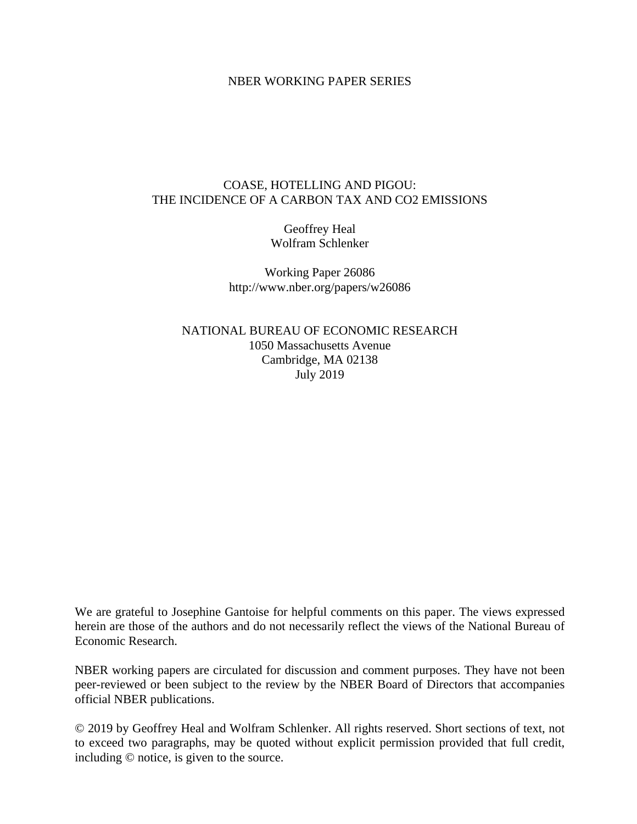## NBER WORKING PAPER SERIES

## COASE, HOTELLING AND PIGOU: THE INCIDENCE OF A CARBON TAX AND CO2 EMISSIONS

Geoffrey Heal Wolfram Schlenker

Working Paper 26086 http://www.nber.org/papers/w26086

NATIONAL BUREAU OF ECONOMIC RESEARCH 1050 Massachusetts Avenue Cambridge, MA 02138 July 2019

We are grateful to Josephine Gantoise for helpful comments on this paper. The views expressed herein are those of the authors and do not necessarily reflect the views of the National Bureau of Economic Research.

NBER working papers are circulated for discussion and comment purposes. They have not been peer-reviewed or been subject to the review by the NBER Board of Directors that accompanies official NBER publications.

© 2019 by Geoffrey Heal and Wolfram Schlenker. All rights reserved. Short sections of text, not to exceed two paragraphs, may be quoted without explicit permission provided that full credit, including © notice, is given to the source.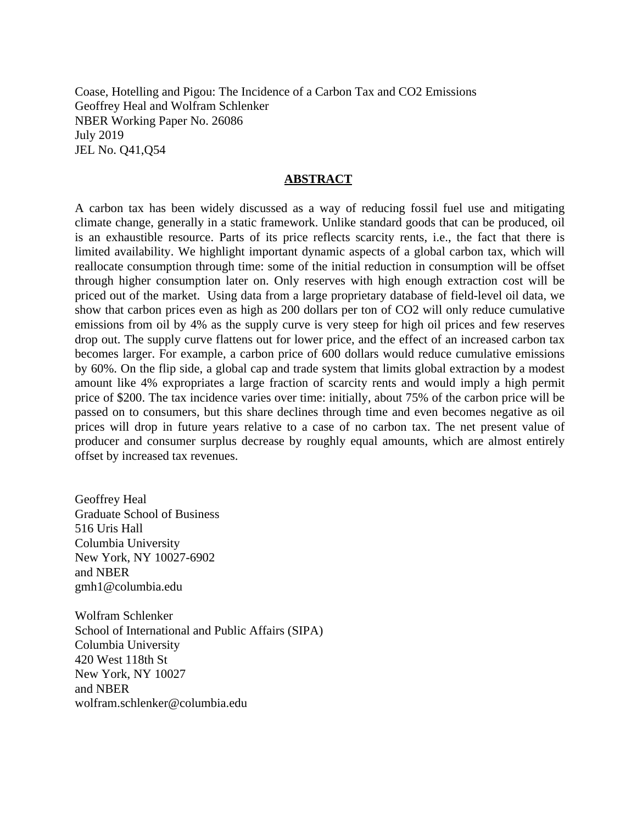Coase, Hotelling and Pigou: The Incidence of a Carbon Tax and CO2 Emissions Geoffrey Heal and Wolfram Schlenker NBER Working Paper No. 26086 July 2019 JEL No. Q41,Q54

#### **ABSTRACT**

A carbon tax has been widely discussed as a way of reducing fossil fuel use and mitigating climate change, generally in a static framework. Unlike standard goods that can be produced, oil is an exhaustible resource. Parts of its price reflects scarcity rents, i.e., the fact that there is limited availability. We highlight important dynamic aspects of a global carbon tax, which will reallocate consumption through time: some of the initial reduction in consumption will be offset through higher consumption later on. Only reserves with high enough extraction cost will be priced out of the market. Using data from a large proprietary database of field-level oil data, we show that carbon prices even as high as 200 dollars per ton of CO2 will only reduce cumulative emissions from oil by 4% as the supply curve is very steep for high oil prices and few reserves drop out. The supply curve flattens out for lower price, and the effect of an increased carbon tax becomes larger. For example, a carbon price of 600 dollars would reduce cumulative emissions by 60%. On the flip side, a global cap and trade system that limits global extraction by a modest amount like 4% expropriates a large fraction of scarcity rents and would imply a high permit price of \$200. The tax incidence varies over time: initially, about 75% of the carbon price will be passed on to consumers, but this share declines through time and even becomes negative as oil prices will drop in future years relative to a case of no carbon tax. The net present value of producer and consumer surplus decrease by roughly equal amounts, which are almost entirely offset by increased tax revenues.

Geoffrey Heal Graduate School of Business 516 Uris Hall Columbia University New York, NY 10027-6902 and NBER gmh1@columbia.edu

Wolfram Schlenker School of International and Public Affairs (SIPA) Columbia University 420 West 118th St New York, NY 10027 and NBER wolfram.schlenker@columbia.edu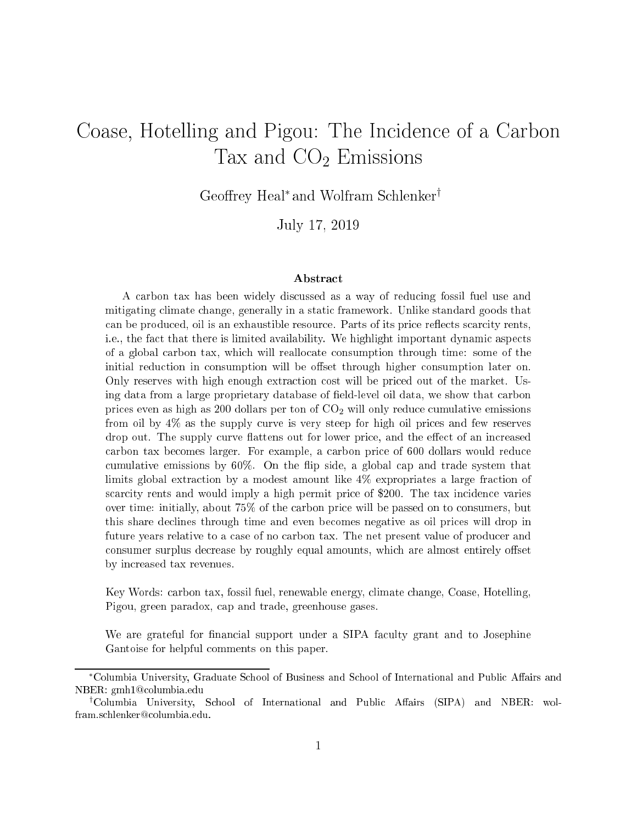# Coase, Hotelling and Pigou: The Incidence of a Carbon Tax and  $CO<sub>2</sub>$  Emissions

Geoffrey Heal<sup>∗</sup> and Wolfram Schlenker<sup>†</sup>

July 17, <sup>2019</sup>

#### **Abstract**

A arbon tax has been widely dis
ussed as a way of redu
ing fossil fuel use and mitigating limate hange, generally in a stati framework. Unlike standard goods that can be produced, oil is an exhaustible resource. Parts of its price reflects scarcity rents, i.e., the fact that there is limited availability. We highlight important dynamic aspects of a global arbon tax, whi
h will reallo
ate onsumption through time: some of the initial reduction in consumption will be offset through higher consumption later on. Only reserves with high enough extraction cost will be priced out of the market. Using data from a large proprietary database of field-level oil data, we show that carbon prices even as high as 200 dollars per ton of  $CO<sub>2</sub>$  will only reduce cumulative emissions from oil by  $4\%$  as the supply curve is very steep for high oil prices and few reserves drop out. The supply curve flattens out for lower price, and the effect of an increased carbon tax becomes larger. For example, a carbon price of 600 dollars would reduce cumulative emissions by  $60\%$ . On the flip side, a global cap and trade system that limits global extraction by a modest amount like  $4\%$  expropriates a large fraction of scarcity rents and would imply a high permit price of \$200. The tax incidence varies over time: initially, about 75% of the arbon pri
e will be passed on to onsumers, but this share de
lines through time and even be
omes negative as oil pri
es will drop in future years relative to a case of no carbon tax. The net present value of producer and consumer surplus decrease by roughly equal amounts, which are almost entirely offset by in
reased tax revenues.

Key Words: arbon tax, fossil fuel, renewable energy, limate hange, Coase, Hotelling, Pigou, green paradox, ap and trade, greenhouse gases.

We are grateful for financial support under a SIPA faculty grant and to Josephine Gantoise for helpful omments on this paper.

<sup>\*</sup>Columbia University, Graduate School of Business and School of International and Public Affairs and NBER: gmh1@columbia.edu

<sup>&</sup>lt;sup>†</sup>Columbia University, School of International and Public Affairs (SIPA) and NBER: wolfram.schlenker@columbia.edu.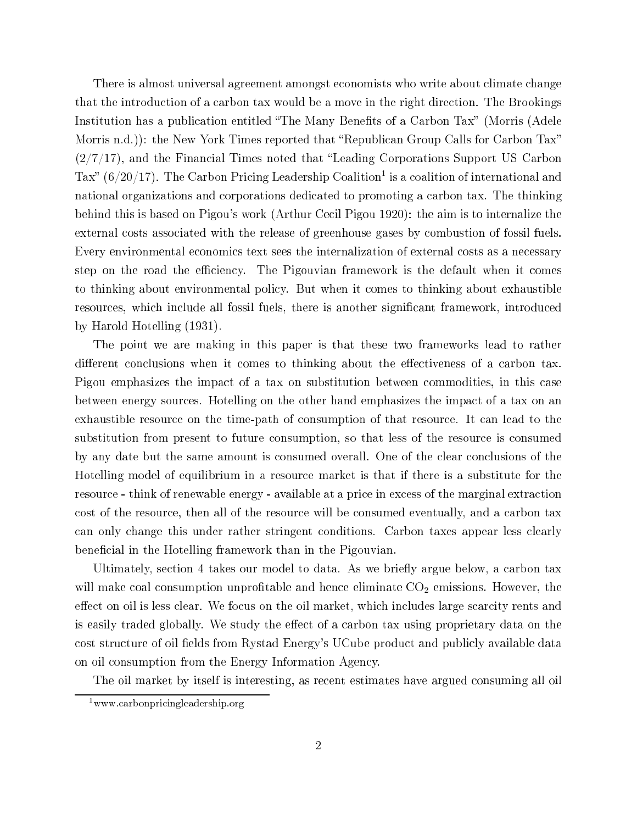There is almost universal agreement amongst e
onomists who write about limate hange that the introduction of a carbon tax would be a move in the right direction. The Brookings Institution has a publication entitled "The Many Benefits of a Carbon Tax" (Morris (Adele Morris n.d.)): the New York Times reported that "Republican Group Calls for Carbon Tax"  $(2/7/17)$ , and the Financial Times noted that "Leading Corporations Support US Carbon Tax (6/20/17). The Carbon Pri
ing Leadership Coalition1 is a oalition of international and national organizations and orporations dedi
ated to promoting a arbon tax. The thinking behind this is based on Pigou's work (Arthur Ce
il Pigou 1920): the aim is to internalize the external osts asso
iated with the release of greenhouse gases by ombustion of fossil fuels. Every environmental economics text sees the internalization of external costs as a necessary step on the road the efficiency. The Pigouvian framework is the default when it comes to thinking about environmental poli
y. But when it omes to thinking about exhaustible resources, which include all fossil fuels, there is another significant framework, introduced by Harold Hotelling (1931).

The point we are making in this paper is that these two frameworks lead to rather different conclusions when it comes to thinking about the effectiveness of a carbon tax. Pigou emphasizes the impact of a tax on substitution between commodities, in this case between energy sour
es. Hotelling on the other hand emphasizes the impa
t of a tax on an exhaustible resource on the time-path of consumption of that resource. It can lead to the substitution from present to future consumption, so that less of the resource is consumed by any date but the same amount is consumed overall. One of the clear conclusions of the Hotelling model of equilibrium in a resour
e market is that if there is a substitute for the resource - think of renewable energy - available at a price in excess of the marginal extraction cost of the resource, then all of the resource will be consumed eventually, and a carbon tax can only change this under rather stringent conditions. Carbon taxes appear less clearly beneficial in the Hotelling framework than in the Pigouvian

Ultimately, section 4 takes our model to data. As we briefly argue below, a carbon tax will make coal consumption unprofitable and hence eliminate  $CO<sub>2</sub>$  emissions. However, the effect on oil is less clear. We focus on the oil market, which includes large scarcity rents and is easily traded globally. We study the effect of a carbon tax using proprietary data on the cost structure of oil fields from Rystad Energy's UCube product and publicly available data on oil consumption from the Energy Information Agency.

The oil market by itself is interesting, as re
ent estimates have argued onsuming all oil

 $1$ www.carbonpricingleadership.org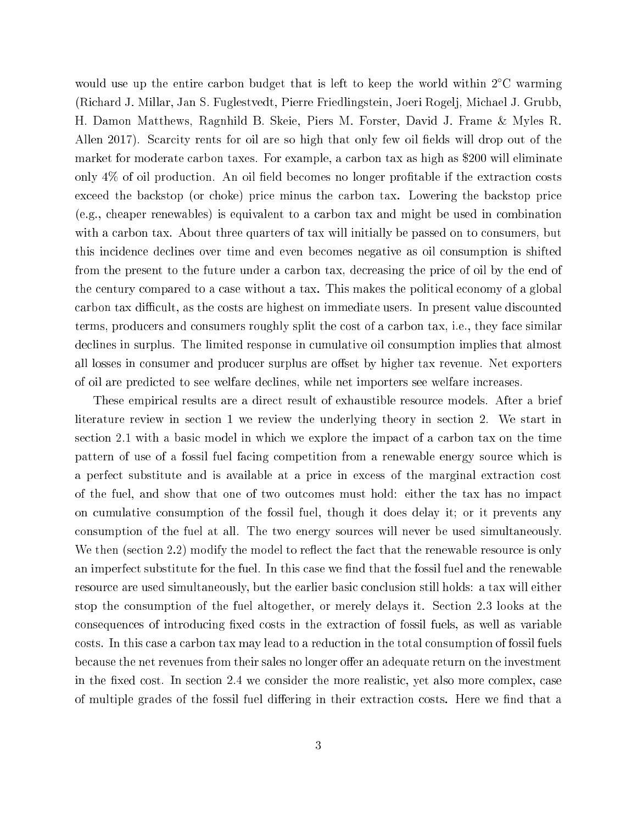would use up the entire carbon budget that is left to keep the world within 2<sup>°</sup>C warming (Ri
hard J. Millar, Jan S. Fuglestvedt, Pierre Friedlingstein, Joeri Rogelj, Mi
hael J. Grubb, H. Damon Matthews, Ragnhild B. Skeie, Piers M. Forster, David J. Frame & Myles R. Allen 2017). Scarcity rents for oil are so high that only few oil fields will drop out of the market for moderate arbon taxes. For example, a arbon tax as high as \$200 will eliminate only  $4\%$  of oil production. An oil field becomes no longer profitable if the extraction costs exceed the backstop (or choke) price minus the carbon tax. Lowering the backstop price (e.g., heaper renewables) is equivalent to a arbon tax and might be used in ombination with a carbon tax. About three quarters of tax will initially be passed on to consumers, but this in
iden
e de
lines over time and even be
omes negative as oil onsumption is shifted from the present to the future under a carbon tax, decreasing the price of oil by the end of the century compared to a case without a tax. This makes the political economy of a global carbon tax difficult, as the costs are highest on immediate users. In present value discounted terms, producers and consumers roughly split the cost of a carbon tax, i.e., they face similar declines in surplus. The limited response in cumulative oil consumption implies that almost all losses in consumer and producer surplus are offset by higher tax revenue. Net exporters of oil are predi
ted to see welfare de
lines, while net importers see welfare in
reases.

These empirical results are a direct result of exhaustible resource models. After a brief literature review in section 1 we review the underlying theory in section 2. We start in section 2.1 with a basic model in which we explore the impact of a carbon tax on the time pattern of use of a fossil fuel facing competition from a renewable energy source which is a perfect substitute and is available at a price in excess of the marginal extraction cost of the fuel, and show that one of two out
omes must hold: either the tax has no impa
t on umulative onsumption of the fossil fuel, though it does delay it; or it prevents any onsumption of the fuel at all. The two energy sour
es will never be used simultaneously. We then (section 2.2) modify the model to reflect the fact that the renewable resource is only an imperfect substitute for the fuel. In this case we find that the fossil fuel and the renewable resource are used simultaneously, but the earlier basic conclusion still holds: a tax will either stop the onsumption of the fuel altogether, or merely delays it. Se
tion 2.3 looks at the consequences of introducing fixed costs in the extraction of fossil fuels, as well as variable costs. In this case a carbon tax may lead to a reduction in the total consumption of fossil fuels because the net revenues from their sales no longer offer an adequate return on the investment in the fixed cost. In section 2.4 we consider the more realistic, yet also more complex, case of multiple grades of the fossil fuel differing in their extraction costs. Here we find that a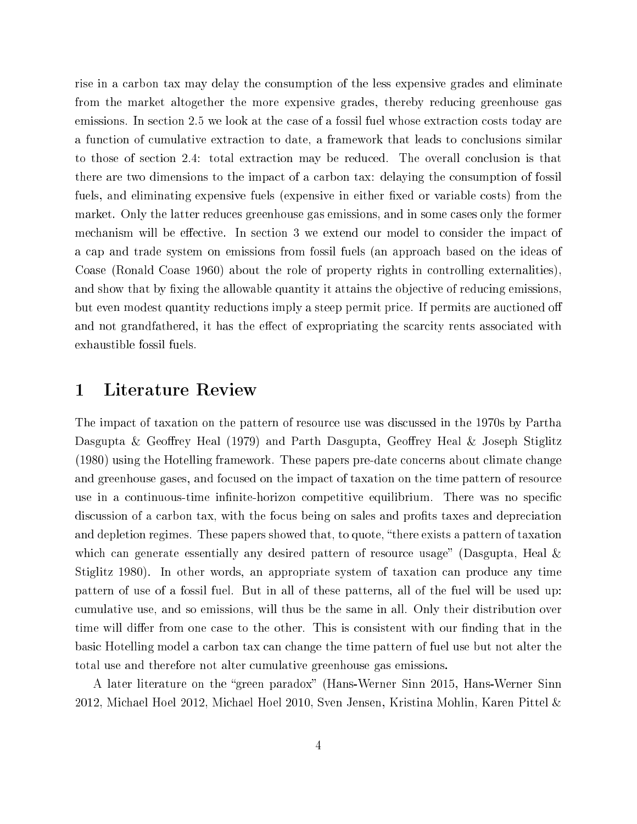rise in a arbon tax may delay the onsumption of the less expensive grades and eliminate from the market altogether the more expensive grades, thereby redu
ing greenhouse gas emissions. In section 2.5 we look at the case of a fossil fuel whose extraction costs today are a function of cumulative extraction to date, a framework that leads to conclusions similar to those of section 2.4: total extraction may be reduced. The overall conclusion is that there are two dimensions to the impact of a carbon tax: delaying the consumption of fossil fuels, and eliminating expensive fuels (expensive in either fixed or variable costs) from the market. Only the latter redu
es greenhouse gas emissions, and in some ases only the former mechanism will be effective. In section 3 we extend our model to consider the impact of a cap and trade system on emissions from fossil fuels (an approach based on the ideas of Coase (Ronald Coase 1960) about the role of property rights in ontrolling externalities), and show that by fixing the allowable quantity it attains the objective of reducing emissions. but even modest quantity reductions imply a steep permit price. If permits are auctioned off and not grandfathered, it has the effect of expropriating the scarcity rents associated with exhaustible fossil fuels.

# 1 Literature Review

The impa
t of taxation on the pattern of resour
e use was dis
ussed in the 1970s by Partha Dasgupta & Geoffrey Heal (1979) and Parth Dasgupta, Geoffrey Heal & Joseph Stiglitz (1980) using the Hotelling framework. These papers pre-date on
erns about limate hange and greenhouse gases, and focused on the impact of taxation on the time pattern of resource use in a continuous-time infinite-horizon competitive equilibrium. There was no specific discussion of a carbon tax, with the focus being on sales and profits taxes and depreciation and depletion regimes. These papers showed that, to quote, "there exists a pattern of taxation" which can generate essentially any desired pattern of resource usage" (Dasgupta, Heal  $\&$ Stiglitz 1980). In other words, an appropriate system of taxation an produ
e any time pattern of use of a fossil fuel. But in all of these patterns, all of the fuel will be used up: umulative use, and so emissions, will thus be the same in all. Only their distribution over time will differ from one case to the other. This is consistent with our finding that in the basi Hotelling model a arbon tax an hange the time pattern of fuel use but not alter the total use and therefore not alter umulative greenhouse gas emissions.

A later literature on the "green paradox" (Hans-Werner Sinn 2015, Hans-Werner Sinn 2012, Michael Hoel 2012, Michael Hoel 2010, Sven Jensen, Kristina Mohlin, Karen Pittel &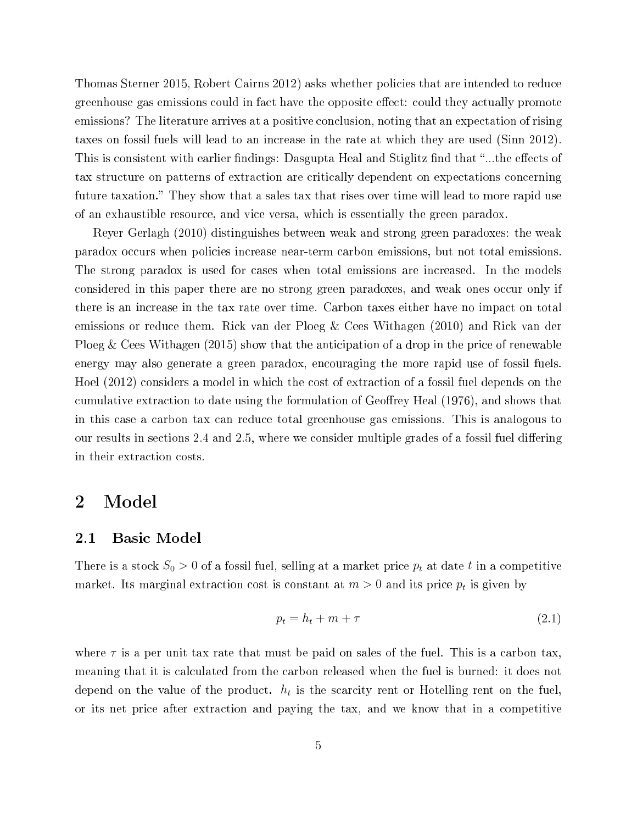Thomas Sterner 2015, Robert Cairns 2012) asks whether policies that are intended to reduce greenhouse gas emissions could in fact have the opposite effect: could they actually promote emissions? The literature arrives at a positive conclusion, noting that an expectation of rising taxes on fossil fuels will lead to an increase in the rate at which they are used (Sinn 2012). This is consistent with earlier findings: Dasgupta Heal and Stiglitz find that "...the effects of tax structure on patterns of extraction are critically dependent on expectations concerning future taxation." They show that a sales tax that rises over time will lead to more rapid use of an exhaustible resour
e, and vi
e versa, whi
h is essentially the green paradox.

Reyer Gerlagh (2010) distinguishes between weak and strong green paradoxes: the weak paradox occurs when policies increase near-term carbon emissions, but not total emissions. The strong paradox is used for cases when total emissions are increased. In the models considered in this paper there are no strong green paradoxes, and weak ones occur only if there is an increase in the tax rate over time. Carbon taxes either have no impact on total emissions or reduce them. Rick van der Ploeg & Cees Withagen (2010) and Rick van der Ploeg & Cees Withagen  $(2015)$  show that the anticipation of a drop in the price of renewable energy may also generate a green paradox, encouraging the more rapid use of fossil fuels. Hoel (2012) considers a model in which the cost of extraction of a fossil fuel depends on the cumulative extraction to date using the formulation of Geoffrey Heal (1976), and shows that in this ase a arbon tax an redu
e total greenhouse gas emissions. This is analogous to our results in sections 2.4 and 2.5, where we consider multiple grades of a fossil fuel differing in their extraction costs.

# 2 Model

## 2.1 Basi Model

There is a stock  $S_0 > 0$  of a fossil fuel, selling at a market price  $p_t$  at date t in a competitive market. Its marginal extraction cost is constant at  $m > 0$  and its price  $p_t$  is given by

$$
p_t = h_t + m + \tau \tag{2.1}
$$

where  $\tau$  is a per unit tax rate that must be paid on sales of the fuel. This is a carbon tax, meaning that it is calculated from the carbon released when the fuel is burned: it does not depend on the value of the product.  $h_t$  is the scarcity rent or Hotelling rent on the fuel, or its net price after extraction and paying the tax, and we know that in a competitive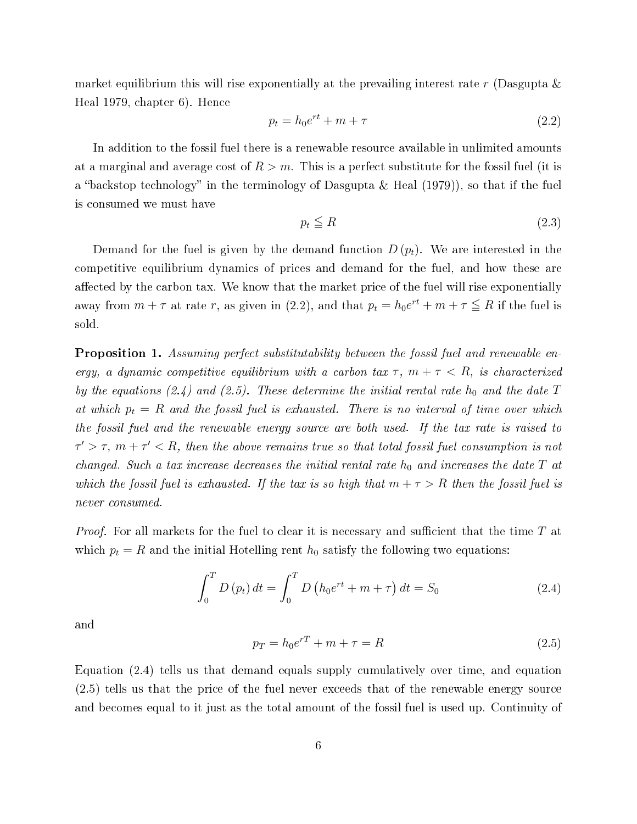market equilibrium this will rise exponentially at the prevailing interest rate r (Dasgupta  $\&$ Heal 1979, hapter 6). Hen
e

$$
p_t = h_0 e^{rt} + m + \tau \tag{2.2}
$$

In addition to the fossil fuel there is a renewable resour
e available in unlimited amounts at a marginal and average cost of  $R > m$ . This is a perfect substitute for the fossil fuel (it is a "backstop technology" in the terminology of Dasgupta & Heal  $(1979)$ ), so that if the fuel is onsumed we must have

$$
p_t \leqq R \tag{2.3}
$$

Demand for the fuel is given by the demand function  $D(p_t)$ . We are interested in the ompetitive equilibrium dynami
s of pri
es and demand for the fuel, and how these are affected by the carbon tax. We know that the market price of the fuel will rise exponentially away from  $m + \tau$  at rate r, as given in (2.2), and that  $p_t = h_0 e^{rt} + m + \tau \leq R$  if the fuel is sold.

**Proposition 1.** Assuming perfect substitutability between the fossil fuel and renewable energy, a dynamic competitive equilibrium with a carbon tax  $\tau$ ,  $m + \tau < R$ , is characterized by the equations (2.4) and (2.5). These determine the initial rental rate  $h_0$  and the date T at which  $p_t = R$  and the fossil fuel is exhausted. There is no interval of time over which the fossil fuel and the renewable energy sour
e are both used. If the tax rate is raised to  $\tau' > \tau$ ,  $m + \tau' < R$ , then the above remains true so that total fossil fuel consumption is not changed. Such a tax increase decreases the initial rental rate  $h_0$  and increases the date T at which the fossil fuel is exhausted. If the tax is so high that  $m + \tau > R$  then the fossil fuel is never consumed.

*Proof.* For all markets for the fuel to clear it is necessary and sufficient that the time  $T$  at which  $p_t = R$  and the initial Hotelling rent  $h_0$  satisfy the following two equations:

$$
\int_{0}^{T} D(p_{t}) dt = \int_{0}^{T} D(p_{0}e^{rt} + m + \tau) dt = S_{0}
$$
\n(2.4)

and

$$
p_T = h_0 e^{rT} + m + \tau = R \tag{2.5}
$$

Equation (2.4) tells us that demand equals supply umulatively over time, and equation (2.5) tells us that the pri
e of the fuel never ex
eeds that of the renewable energy sour
e and be
omes equal to it just as the total amount of the fossil fuel is used up. Continuity of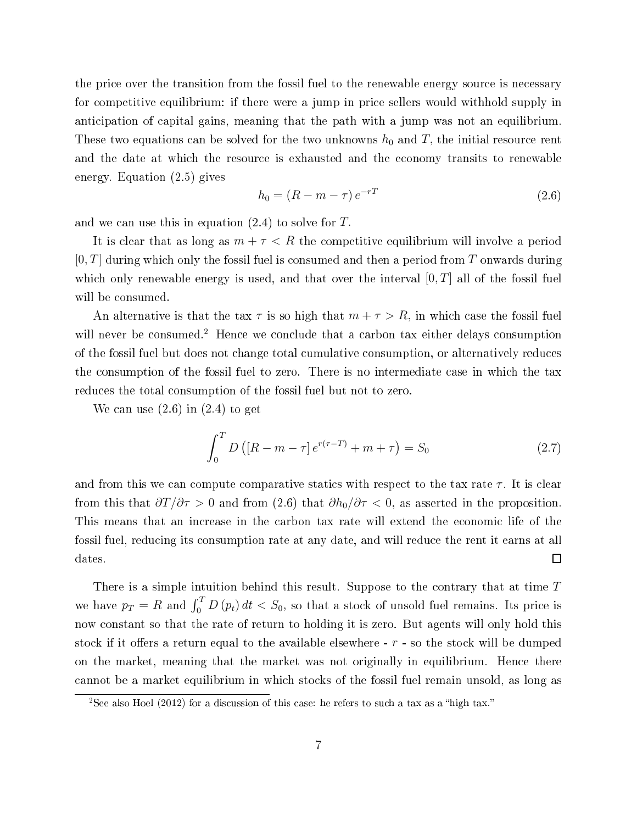the price over the transition from the fossil fuel to the renewable energy source is necessary for competitive equilibrium: if there were a jump in price sellers would withhold supply in anticipation of capital gains, meaning that the path with a jump was not an equilibrium. These two equations can be solved for the two unknowns  $h_0$  and T, the initial resource rent and the date at whi
h the resour
e is exhausted and the e
onomy transits to renewable energy. Equation (2.5) gives

$$
h_0 = (R - m - \tau) e^{-rT}
$$
\n(2.6)

and we can use this in equation  $(2.4)$  to solve for T.

It is clear that as long as  $m + \tau < R$  the competitive equilibrium will involve a period  $[0, T]$  during which only the fossil fuel is consumed and then a period from T onwards during which only renewable energy is used, and that over the interval  $[0, T]$  all of the fossil fuel will be consumed.

An alternative is that the tax  $\tau$  is so high that  $m + \tau > R$ , in which case the fossil fuel will never be consumed.<sup>2</sup> Hence we conclude that a carbon tax either delays consumption of the fossil fuel but does not hange total umulative onsumption, or alternatively redu
es the consumption of the fossil fuel to zero. There is no intermediate case in which the tax redu
es the total onsumption of the fossil fuel but not to zero.

We can use  $(2.6)$  in  $(2.4)$  to get

$$
\int_{0}^{T} D\left( [R - m - \tau] e^{r(\tau - T)} + m + \tau \right) = S_{0}
$$
\n(2.7)

and from this we can compute comparative statics with respect to the tax rate  $\tau$ . It is clear from this that  $\partial T/\partial \tau > 0$  and from (2.6) that  $\partial h_0/\partial \tau < 0$ , as asserted in the proposition. This means that an increase in the carbon tax rate will extend the economic life of the fossil fuel, reducing its consumption rate at any date, and will reduce the rent it earns at all  $\Box$ dates.

There is a simple intuition behind this result. Suppose to the contrary that at time  $T$ we have  $p_T = R$  and  $\int_0^T D(p_t) dt < S_0$ , so that a stock of unsold fuel remains. Its price is now constant so that the rate of return to holding it is zero. But agents will only hold this stock if it offers a return equal to the available elsewhere  $- r -$  so the stock will be dumped on the market, meaning that the market was not originally in equilibrium. Hence there annot be a market equilibrium in whi
h sto
ks of the fossil fuel remain unsold, as long as

<sup>-</sup>See also Hoel (2012) for a discussion of this case: he refers to such a tax as a -nigh tax.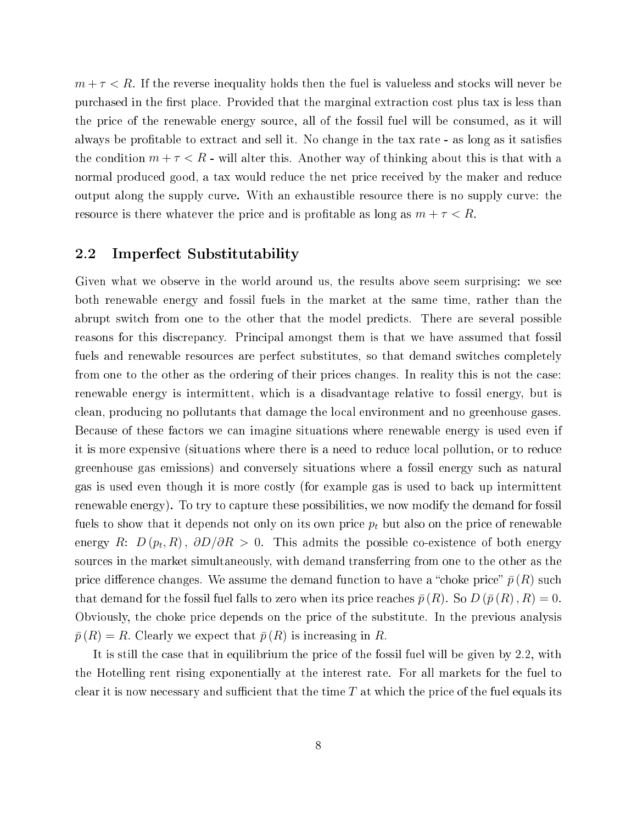$m + \tau < R$ . If the reverse inequality holds then the fuel is valueless and stocks will never be purchased in the first place. Provided that the marginal extraction cost plus tax is less than the pri
e of the renewable energy sour
e, all of the fossil fuel will be onsumed, as it will always be profitable to extract and sell it. No change in the tax rate - as long as it satisfies the condition  $m + \tau < R$  - will alter this. Another way of thinking about this is that with a normal produced good, a tax would reduce the net price received by the maker and reduce output along the supply urve. With an exhaustible resour
e there is no supply urve: the resource is there whatever the price and is profitable as long as  $m + \tau < R$ .

# 2.2 Imperfe
t Substitutability

Given what we observe in the world around us, the results above seem surprising: we see both renewable energy and fossil fuels in the market at the same time, rather than the abrupt switch from one to the other that the model predicts. There are several possible reasons for this discrepancy. Principal amongst them is that we have assumed that fossil fuels and renewable resources are perfect substitutes, so that demand switches completely from one to the other as the ordering of their prices changes. In reality this is not the case: renewable energy is intermittent, whi
h is a disadvantage relative to fossil energy, but is lean, produ
ing no pollutants that damage the lo
al environment and no greenhouse gases. Because of these factors we can imagine situations where renewable energy is used even if it is more expensive (situations where there is a need to redu
e lo
al pollution, or to redu
e greenhouse gas emissions) and onversely situations where a fossil energy su
h as natural gas is used even though it is more ostly (for example gas is used to ba
k up intermittent renewable energy). To try to capture these possibilities, we now modify the demand for fossil fuels to show that it depends not only on its own price  $p_t$  but also on the price of renewable energy R:  $D\left(p_t,R\right),\ \partial D/\partial R\,>\,0.$  This admits the possible co-existence of both energy sour
es in the market simultaneously, with demand transferring from one to the other as the price difference changes. We assume the demand function to have a "choke price"  $\bar{p}(R)$  such that demand for the fossil fuel falls to zero when its price reaches  $\bar{p}(R)$ . So  $D(\bar{p}(R), R) = 0$ . Obviously, the hoke pri
e depends on the pri
e of the substitute. In the previous analysis  $\bar{p}(R) = R$ . Clearly we expect that  $\bar{p}(R)$  is increasing in R.

It is still the ase that in equilibrium the pri
e of the fossil fuel will be given by 2.2, with the Hotelling rent rising exponentially at the interest rate. For all markets for the fuel to clear it is now necessary and sufficient that the time  $T$  at which the price of the fuel equals its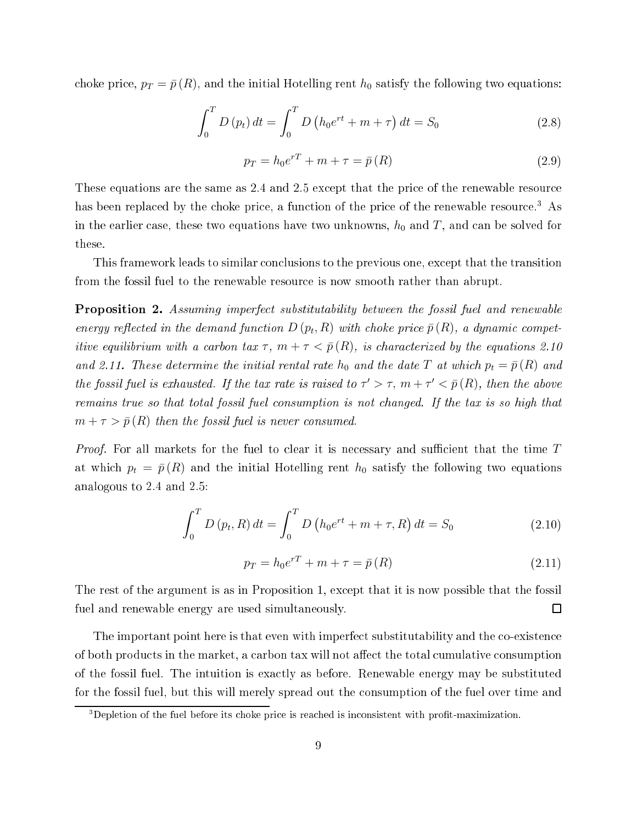choke price,  $p_T = \bar{p}(R)$ , and the initial Hotelling rent  $h_0$  satisfy the following two equations:

$$
\int_{0}^{T} D(p_{t}) dt = \int_{0}^{T} D(p_{0}e^{rt} + m + \tau) dt = S_{0}
$$
\n(2.8)

$$
p_T = h_0 e^{rT} + m + \tau = \bar{p}(R)
$$
\n
$$
(2.9)
$$

These equations are the same as 2.4 and 2.5 except that the price of the renewable resource has been replaced by the choke price, a function of the price of the renewable resource.<sup>3</sup> As in the earlier case, these two equations have two unknowns,  $h_0$  and T, and can be solved for these.

This framework leads to similar conclusions to the previous one, except that the transition from the fossil fuel to the renewable resour
e is now smooth rather than abrupt.

**Proposition 2.** Assuming imperfect substitutability between the fossil fuel and renewable energy reflected in the demand function  $D(p_t, R)$  with choke price  $\bar{p}(R)$ , a dynamic competitive equilibrium with a carbon tax  $\tau$ ,  $m + \tau < \bar{p}(R)$ , is characterized by the equations 2.10 and 2.11. These determine the initial rental rate  $h_0$  and the date T at which  $p_t = \bar{p}(R)$  and the fossil fuel is exhausted. If the tax rate is raised to  $\tau' > \tau$ ,  $m + \tau' < \bar{p}(R)$ , then the above remains true so that total fossil fuel consumption is not changed. If the tax is so high that  $m + \tau > \bar{p}(R)$  then the fossil fuel is never consumed.

*Proof.* For all markets for the fuel to clear it is necessary and sufficient that the time  $T$ at which  $p_t = \bar{p}(R)$  and the initial Hotelling rent  $h_0$  satisfy the following two equations analogous to 2.4 and 2.5:

$$
\int_{0}^{T} D(p_t, R) dt = \int_{0}^{T} D(p_0 e^{rt} + m + \tau, R) dt = S_0
$$
\n(2.10)

$$
p_T = h_0 e^{rT} + m + \tau = \bar{p}(R)
$$
\n(2.11)

The rest of the argument is as in Proposition 1, ex
ept that it is now possible that the fossil fuel and renewable energy are used simultaneously.  $\Box$ 

The important point here is that even with imperfect substitutability and the co-existence of both products in the market, a carbon tax will not affect the total cumulative consumption of the fossil fuel. The intuition is exa
tly as before. Renewable energy may be substituted for the fossil fuel, but this will merely spread out the onsumption of the fuel over time and

<sup>&</sup>lt;sup>3</sup>Depletion of the fuel before its choke price is reached is inconsistent with profit-maximization.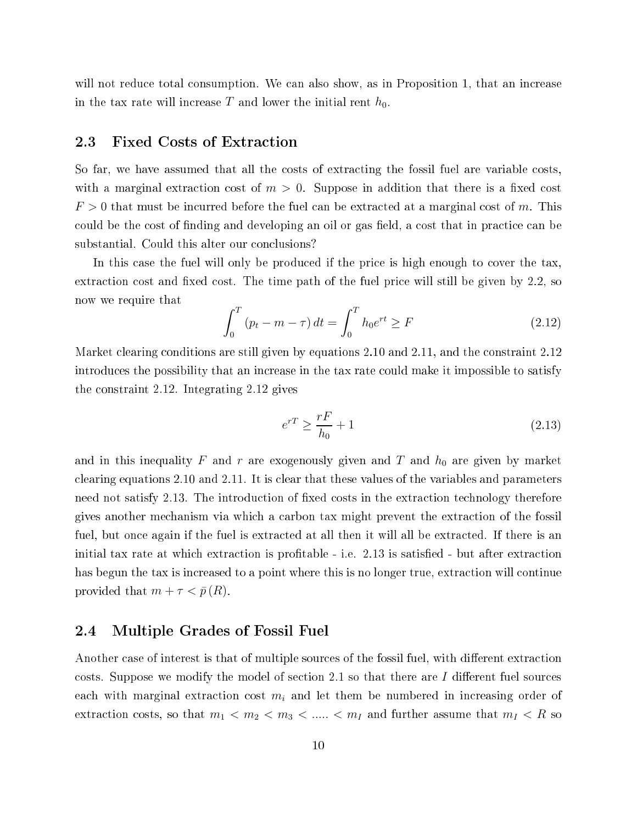will not reduce total consumption. We can also show, as in Proposition 1, that an increase in the tax rate will increase  $T$  and lower the initial rent  $h_0$ .

## 2.3 Fixed Costs of Extra
tion

So far, we have assumed that all the costs of extracting the fossil fuel are variable costs. with a marginal extraction cost of  $m > 0$ . Suppose in addition that there is a fixed cost  $F > 0$  that must be incurred before the fuel can be extracted at a marginal cost of m. This could be the cost of finding and developing an oil or gas field, a cost that in practice can be substantial. Could this alter our conclusions?

In this case the fuel will only be produced if the price is high enough to cover the tax. extraction cost and fixed cost. The time path of the fuel price will still be given by 2.2, so now we require that

$$
\int_0^T (p_t - m - \tau) dt = \int_0^T h_0 e^{rt} \ge F \tag{2.12}
$$

Market clearing conditions are still given by equations 2.10 and 2.11, and the constraint 2.12 introdu
es the possibility that an in
rease in the tax rate ould make it impossible to satisfy the onstraint 2.12. Integrating 2.12 gives

$$
e^{rT} \ge \frac{rF}{h_0} + 1\tag{2.13}
$$

and in this inequality F and r are exogenously given and T and  $h_0$  are given by market clearing equations 2.10 and 2.11. It is clear that these values of the variables and parameters need not satisfy 2.13. The introduction of fixed costs in the extraction technology therefore gives another me
hanism via whi
h a arbon tax might prevent the extra
tion of the fossil fuel, but once again if the fuel is extracted at all then it will all be extracted. If there is an initial tax rate at which extraction is profitable - i.e. 2.13 is satisfied - but after extraction has begun the tax is increased to a point where this is no longer true, extraction will continue provided that  $m + \tau < \bar{p}(R)$ .

# 2.4 Multiple Grades of Fossil Fuel

Another case of interest is that of multiple sources of the fossil fuel, with different extraction costs. Suppose we modify the model of section 2.1 so that there are I different fuel sources each with marginal extraction cost  $m_i$  and let them be numbered in increasing order of extraction costs, so that  $m_1 < m_2 < m_3 < \ldots < m_I$  and further assume that  $m_I < R$  so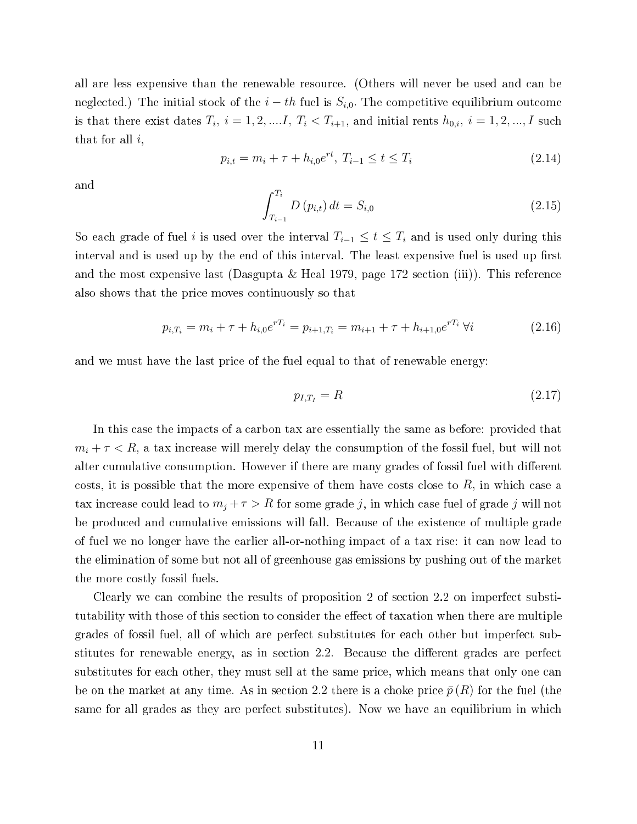all are less expensive than the renewable resour
e. (Others will never be used and an be neglected.) The initial stock of the  $i-th$  fuel is  $S_{i,0}$ . The competitive equilibrium outcome is that there exist dates  $T_i$ ,  $i = 1, 2, .... I$ ,  $T_i < T_{i+1}$ , and initial rents  $h_{0,i}$ ,  $i = 1, 2, ..., I$  such that for all  $i$ ,

$$
p_{i,t} = m_i + \tau + h_{i,0}e^{rt}, \ T_{i-1} \le t \le T_i \tag{2.14}
$$

and

$$
\int_{T_{i-1}}^{T_i} D(p_{i,t}) dt = S_{i,0}
$$
\n(2.15)

So each grade of fuel i is used over the interval  $T_{i-1} \leq t \leq T_i$  and is used only during this interval and is used up by the end of this interval. The least expensive fuel is used up first and the most expensive last (Dasgupta & Heal 1979, page 172 section (iii)). This reference also shows that the pri
e moves ontinuously so that

$$
p_{i,T_i} = m_i + \tau + h_{i,0} e^{rT_i} = p_{i+1,T_i} = m_{i+1} + \tau + h_{i+1,0} e^{rT_i} \ \forall i \tag{2.16}
$$

and we must have the last pri
e of the fuel equal to that of renewable energy:

$$
p_{I,T_I} = R \tag{2.17}
$$

In this case the impacts of a carbon tax are essentially the same as before: provided that  $m_i + \tau < R$ , a tax increase will merely delay the consumption of the fossil fuel, but will not alter cumulative consumption. However if there are many grades of fossil fuel with different costs, it is possible that the more expensive of them have costs close to  $R$ , in which case a tax increase could lead to  $m_j + \tau > R$  for some grade j, in which case fuel of grade j will not be produ
ed and umulative emissions will fall. Be
ause of the existen
e of multiple grade of fuel we no longer have the earlier all-or-nothing impa
t of a tax rise: it an now lead to the elimination of some but not all of greenhouse gas emissions by pushing out of the market the more ostly fossil fuels.

Clearly we can combine the results of proposition 2 of section 2.2 on imperfect substitutability with those of this section to consider the effect of taxation when there are multiple grades of fossil fuel, all of whi
h are perfe
t substitutes for ea
h other but imperfe
t substitutes for renewable energy, as in section 2.2. Because the different grades are perfect substitutes for each other, they must sell at the same price, which means that only one can be on the market at any time. As in section 2.2 there is a choke price  $\bar{p}(R)$  for the fuel (the same for all grades as they are perfect substitutes). Now we have an equilibrium in which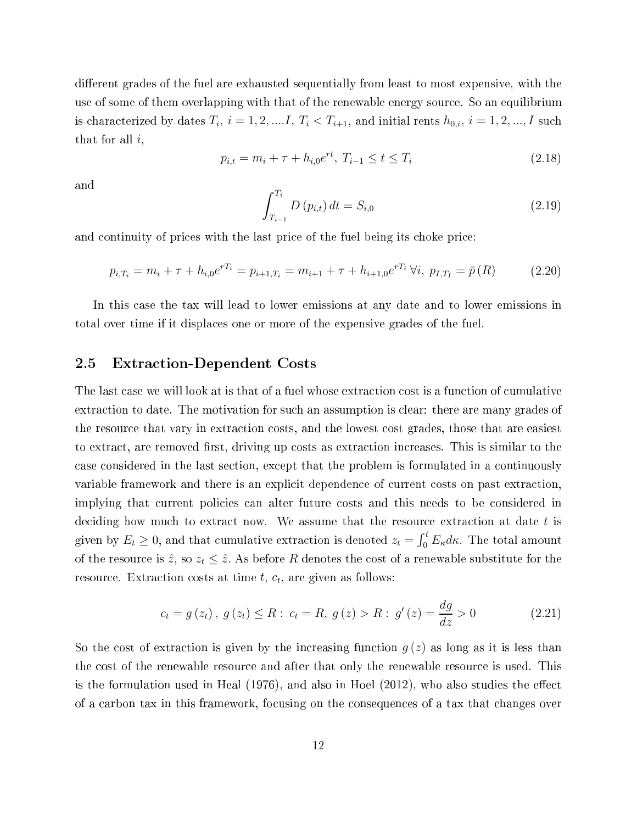different grades of the fuel are exhausted sequentially from least to most expensive, with the use of some of them overlapping with that of the renewable energy sour
e. So an equilibrium is characterized by dates  $T_i, i = 1, 2, .... I, T_i < T_{i+1}$ , and initial rents  $h_{0,i}, i = 1, 2, ..., I$  such that for all  $i$ ,

$$
p_{i,t} = m_i + \tau + h_{i,0}e^{rt}, \ T_{i-1} \le t \le T_i \tag{2.18}
$$

and

$$
\int_{T_{i-1}}^{T_i} D(p_{i,t}) dt = S_{i,0}
$$
\n(2.19)

and continuity of prices with the last price of the fuel being its choke price:

$$
p_{i,T_i} = m_i + \tau + h_{i,0} e^{rT_i} = p_{i+1,T_i} = m_{i+1} + \tau + h_{i+1,0} e^{rT_i} \,\forall i, \ p_{I,T_i} = \bar{p}(R) \tag{2.20}
$$

In this case the tax will lead to lower emissions at any date and to lower emissions in total over time if it displa
es one or more of the expensive grades of the fuel.

## 2.5 Extra
tion-Dependent Costs

The last case we will look at is that of a fuel whose extraction cost is a function of cumulative extraction to date. The motivation for such an assumption is clear: there are many grades of the resour
e that vary in extra
tion osts, and the lowest ost grades, those that are easiest to extract, are removed first, driving up costs as extraction increases. This is similar to the case considered in the last section, except that the problem is formulated in a continuously variable framework and there is an explicit dependence of current costs on past extraction. implying that current policies can alter future costs and this needs to be considered in deciding how much to extract now. We assume that the resource extraction at date t is given by  $E_t \geq 0$ , and that cumulative extraction is denoted  $z_t = \int_0^t E_{\kappa} d\kappa$ . The total amount of the resource is  $\hat{z}$ , so  $z_t \leq \hat{z}$ . As before R denotes the cost of a renewable substitute for the resource. Extraction costs at time  $t, c_t$ , are given as follows:

$$
c_{t} = g(z_{t}), g(z_{t}) \leq R : c_{t} = R, g(z) > R : g'(z) = \frac{dg}{dz} > 0
$$
\n(2.21)

So the cost of extraction is given by the increasing function  $q(z)$  as long as it is less than the ost of the renewable resour
e and after that only the renewable resour
e is used. This is the formulation used in Heal  $(1976)$ , and also in Hoel  $(2012)$ , who also studies the effect of a arbon tax in this framework, fo
using on the onsequen
es of a tax that hanges over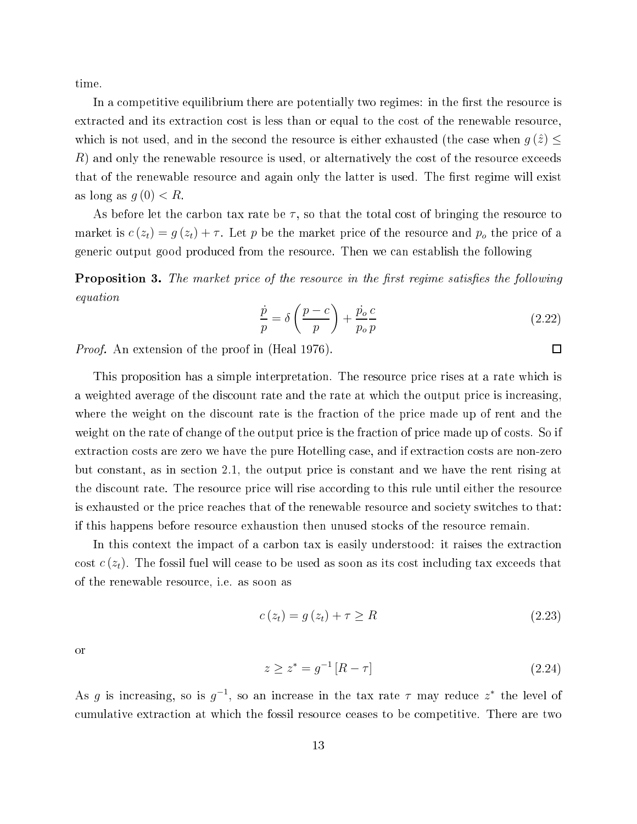time.

In a competitive equilibrium there are potentially two regimes: in the first the resource is extracted and its extraction cost is less than or equal to the cost of the renewable resource, which is not used, and in the second the resource is either exhausted (the case when  $g(\hat{z}) \leq$ R) and only the renewable resource is used, or alternatively the cost of the resource exceeds that of the renewable resource and again only the latter is used. The first regime will exist as long as  $q(0) < R$ .

As before let the carbon tax rate be  $\tau$ , so that the total cost of bringing the resource to market is  $c(z_t) = g(z_t) + \tau$ . Let p be the market price of the resource and  $p_o$  the price of a generi output good produ
ed from the resour
e. Then we an establish the following

**Proposition 3.** The market price of the resource in the first regime satisfies the following equation

$$
\frac{\dot{p}}{p} = \delta \left( \frac{p - c}{p} \right) + \frac{\dot{p}_o}{p_o} \frac{c}{p}
$$
\n(2.22)

Proof. An extension of the proof in (Heal 1976).

This proposition has a simple interpretation. The resource price rises at a rate which is a weighted average of the discount rate and the rate at which the output price is increasing. where the weight on the discount rate is the fraction of the price made up of rent and the weight on the rate of change of the output price is the fraction of price made up of costs. So if extraction costs are zero we have the pure Hotelling case, and if extraction costs are non-zero but onstant, as in se
tion 2.1, the output pri
e is onstant and we have the rent rising at the discount rate. The resource price will rise according to this rule until either the resource is exhausted or the price reaches that of the renewable resource and society switches to that: if this happens before resour
e exhaustion then unused sto
ks of the resour
e remain.

In this context the impact of a carbon tax is easily understood: it raises the extraction cost  $c(z_t)$ . The fossil fuel will cease to be used as soon as its cost including tax exceeds that of the renewable resour
e, i.e. as soon as

$$
c(z_t) = g(z_t) + \tau \ge R \tag{2.23}
$$

or

$$
z \ge z^* = g^{-1} [R - \tau]
$$
\n(2.24)

As g is increasing, so is  $g^{-1}$ , so an increase in the tax rate  $\tau$  may reduce  $z^*$  the level of umulative extra
tion at whi
h the fossil resour
e eases to be ompetitive. There are two

 $\Box$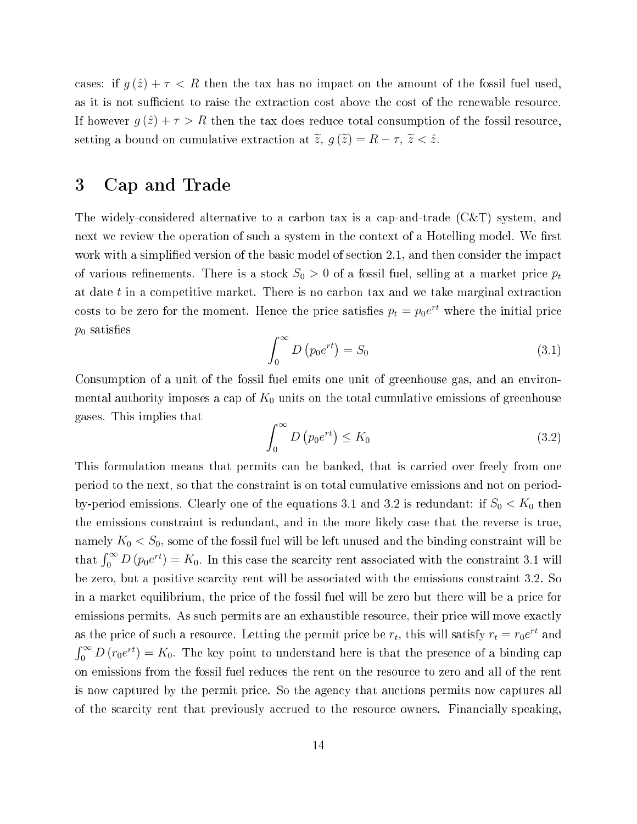cases: if  $g(\hat{z}) + \tau < R$  then the tax has no impact on the amount of the fossil fuel used, as it is not sufficient to raise the extraction cost above the cost of the renewable resource. If however  $g(\hat{z}) + \tau > R$  then the tax does reduce total consumption of the fossil resource, setting a bound on cumulative extraction at  $\tilde{z}$ ,  $g(\tilde{z}) = R - \tau$ ,  $\tilde{z} < \hat{z}$ .

# 3 Cap and Trade

The widely-considered alternative to a carbon tax is a cap-and-trade  $(C&T)$  system, and next we review the operation of such a system in the context of a Hotelling model. We first work with a simplified version of the basic model of section 2.1, and then consider the impact of various refinements. There is a stock  $S_0 > 0$  of a fossil fuel, selling at a market price  $p_t$ at date  $t$  in a competitive market. There is no carbon tax and we take marginal extraction costs to be zero for the moment. Hence the price satisfies  $p_t = p_0 e^{rt}$  where the initial price  $p_0$  satisfies

$$
\int_0^\infty D\left(p_0 e^{rt}\right) = S_0\tag{3.1}
$$

Consumption of a unit of the fossil fuel emits one unit of greenhouse gas, and an environmental authority imposes a cap of  $K_0$  units on the total cumulative emissions of greenhouse gases. This implies that

$$
\int_0^\infty D\left(p_0 e^{rt}\right) \le K_0\tag{3.2}
$$

This formulation means that permits can be banked, that is carried over freely from one period to the next, so that the onstraint is on total umulative emissions and not on periodby-period emissions. Clearly one of the equations 3.1 and 3.2 is redundant: if  $S_0 < K_0$  then the emissions onstraint is redundant, and in the more likely ase that the reverse is true, namely  $K_0 < S_0$ , some of the fossil fuel will be left unused and the binding constraint will be that  $\int_0^\infty D(p_0 e^{rt}) = K_0$ . In this case the scarcity rent associated with the constraint 3.1 will be zero, but a positive scarcity rent will be associated with the emissions constraint 3.2. So in a market equilibrium, the price of the fossil fuel will be zero but there will be a price for emissions permits. As such permits are an exhaustible resource, their price will move exactly as the price of such a resource. Letting the permit price be  $r_t$ , this will satisfy  $r_t = r_0 e^{rt}$  and  $\int_0^\infty D(r_0e^{rt}) = K_0$ . The key point to understand here is that the presence of a binding cap on emissions from the fossil fuel redu
es the rent on the resour
e to zero and all of the rent is now captured by the permit price. So the agency that auctions permits now captures all of the scarcity rent that previously accrued to the resource owners. Financially speaking,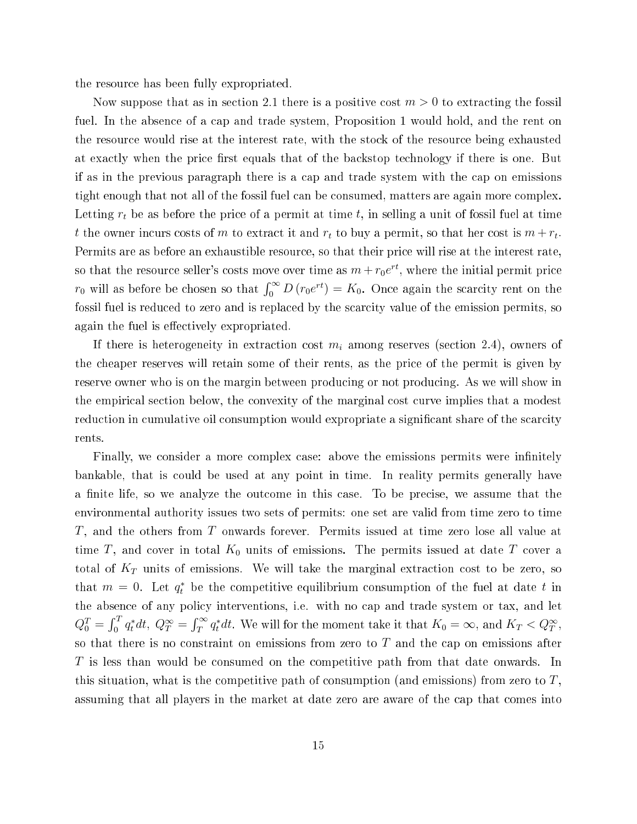the resour
e has been fully expropriated.

Now suppose that as in section 2.1 there is a positive cost  $m > 0$  to extracting the fossil fuel. In the absence of a cap and trade system, Proposition 1 would hold, and the rent on the resour
e would rise at the interest rate, with the sto
k of the resour
e being exhausted at exactly when the price first equals that of the backstop technology if there is one. But if as in the previous paragraph there is a ap and trade system with the ap on emissions tight enough that not all of the fossil fuel an be onsumed, matters are again more omplex. Letting  $r_t$  be as before the price of a permit at time t, in selling a unit of fossil fuel at time t the owner incurs costs of m to extract it and  $r_t$  to buy a permit, so that her cost is  $m + r_t$ . Permits are as before an exhaustible resource, so that their price will rise at the interest rate, so that the resource seller's costs move over time as  $m + r_0 e^{rt}$ , where the initial permit price  $r_0$  will as before be chosen so that  $\int_0^\infty D(r_0 e^{rt}) = K_0$ . Once again the scarcity rent on the fossil fuel is reduced to zero and is replaced by the scarcity value of the emission permits, so again the fuel is effectively expropriated.

If there is heterogeneity in extraction cost  $m_i$  among reserves (section 2.4), owners of the heaper reserves will retain some of their rents, as the pri
e of the permit is given by reserve owner who is on the margin between producing or not producing. As we will show in the empirical section below, the convexity of the marginal cost curve implies that a modest reduction in cumulative oil consumption would expropriate a significant share of the scarcity rents.

Finally, we consider a more complex case: above the emissions permits were infinitely bankable, that is ould be used at any point in time. In reality permits generally have a finite life, so we analyze the outcome in this case. To be precise, we assume that the environmental authority issues two sets of permits: one set are valid from time zero to time  $T$ , and the others from  $T$  onwards forever. Permits issued at time zero lose all value at time T, and cover in total  $K_0$  units of emissions. The permits issued at date T cover a total of  $K_T$  units of emissions. We will take the marginal extraction cost to be zero, so that  $m = 0$ . Let  $q_t^*$  be the competitive equilibrium consumption of the fuel at date t in the absence of any policy interventions, i.e. with no cap and trade system or tax, and let  $Q_0^T = \int_0^T q_t^* dt$ ,  $Q_T^{\infty} = \int_T^{\infty} q_t^* dt$ . We will for the moment take it that  $K_0 = \infty$ , and  $K_T < Q_T^{\infty}$ , so that there is no constraint on emissions from zero to  $T$  and the cap on emissions after T is less than would be consumed on the competitive path from that date onwards. In this situation, what is the competitive path of consumption (and emissions) from zero to  $T$ , assuming that all players in the market at date zero are aware of the cap that comes into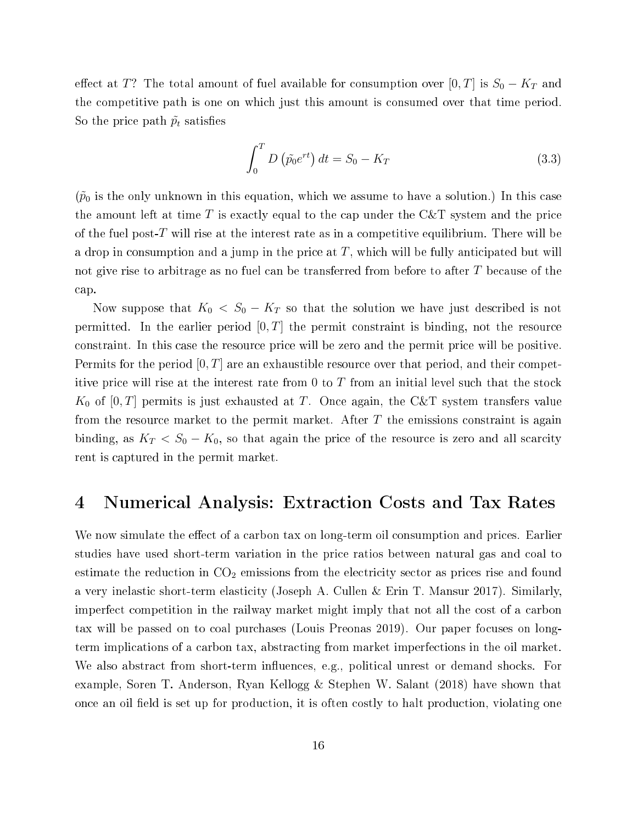effect at T? The total amount of fuel available for consumption over [0, T] is  $S_0 - K_T$  and the competitive path is one on which just this amount is consumed over that time period. So the price path  $\tilde{p}_t$  satisfies

$$
\int_0^T D\left(\tilde{p_0}e^{rt}\right) dt = S_0 - K_T \tag{3.3}
$$

 $(\tilde{p}_0)$  is the only unknown in this equation, which we assume to have a solution.) In this case the amount left at time  $T$  is exactly equal to the cap under the  $C\&T$  system and the price of the fuel post-T will rise at the interest rate as in a competitive equilibrium. There will be a drop in consumption and a jump in the price at  $T$ , which will be fully anticipated but will not give rise to arbitrage as no fuel can be transferred from before to after T because of the ap.

Now suppose that  $K_0\,<\,S_0\,-\,K_T$  so that the solution we have just described is not permitted. In the earlier period  $[0, T]$  the permit constraint is binding, not the resource onstraint. In this ase the resour
e pri
e will be zero and the permit pri
e will be positive. Permits for the period  $[0, T]$  are an exhaustible resource over that period, and their competitive price will rise at the interest rate from  $0$  to  $T$  from an initial level such that the stock  $K_0$  of  $[0,T]$  permits is just exhausted at T. Once again, the C&T system transfers value from the resource market to the permit market. After  $T$  the emissions constraint is again binding, as  $K_T < S_0 - K_0$ , so that again the price of the resource is zero and all scarcity rent is aptured in the permit market.

# 4 Numeri
al Analysis: Extra
tion Costs and Tax Rates

We now simulate the effect of a carbon tax on long-term oil consumption and prices. Earlier studies have used short-term variation in the price ratios between natural gas and coal to estimate the reduction in  $CO<sub>2</sub>$  emissions from the electricity sector as prices rise and found a very inelastic short-term elasticity (Joseph A. Cullen & Erin T. Mansur 2017). Similarly imperfe
t ompetition in the railway market might imply that not all the ost of a arbon tax will be passed on to coal purchases (Louis Preonas 2019). Our paper focuses on longterm impli
ations of a arbon tax, abstra
ting from market imperfe
tions in the oil market. We also abstract from short-term influences, e.g., political unrest or demand shocks. For example, Soren T. Anderson, Ryan Kellogg & Stephen W. Salant (2018) have shown that once an oil field is set up for production, it is often costly to halt production, violating one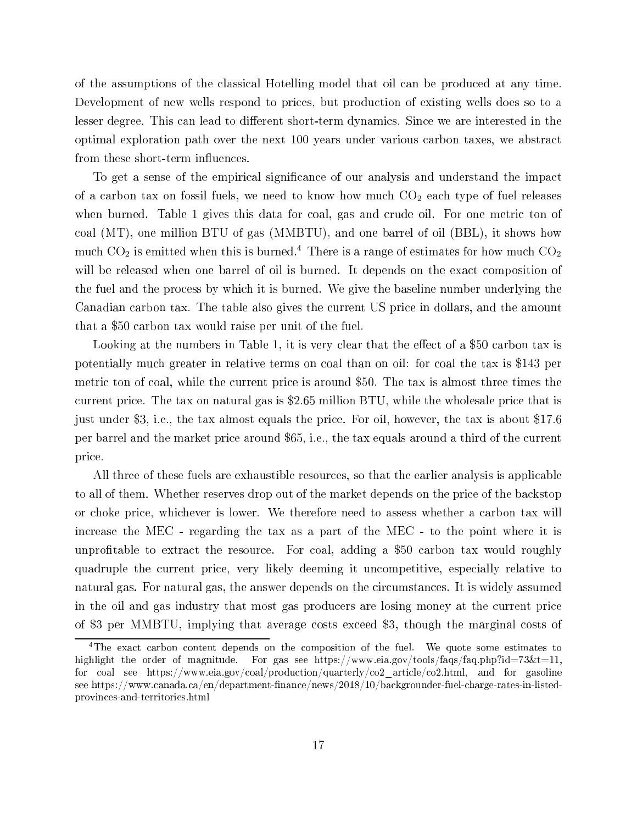of the assumptions of the lassi
al Hotelling model that oil an be produ
ed at any time. Development of new wells respond to prices, but production of existing wells does so to a lesser degree. This can lead to different short-term dynamics. Since we are interested in the optimal exploration path over the next 100 years under various arbon taxes, we abstra
t from these short-term influences.

To get a sense of the empirical significance of our analysis and understand the impact of a carbon tax on fossil fuels, we need to know how much  $CO<sub>2</sub>$  each type of fuel releases when burned. Table 1 gives this data for coal, gas and crude oil. For one metric ton of coal  $(MT)$ , one million BTU of gas  $(MMBTU)$ , and one barrel of oil  $(BBL)$ , it shows how much  $\cup$ O<sub>2</sub> is emitted when this is burned. There is a range of estimates for how much  $\cup$ O<sub>2</sub> will be released when one barrel of oil is burned. It depends on the exact composition of the fuel and the pro
ess by whi
h it is burned. We give the baseline number underlying the Canadian arbon tax. The table also gives the urrent US pri
e in dollars, and the amount that a \$50 arbon tax would raise per unit of the fuel.

Looking at the numbers in Table 1, it is very clear that the effect of a \$50 carbon tax is potentially mu
h greater in relative terms on oal than on oil: for oal the tax is \$143 per metric ton of coal, while the current price is around \$50. The tax is almost three times the urrent pri
e. The tax on natural gas is \$2.65 million BTU, while the wholesale pri
e that is just under \$3, i.e., the tax almost equals the pri
e. For oil, however, the tax is about \$17.6 per barrel and the market pri
e around \$65, i.e., the tax equals around a third of the urrent pri
e.

All three of these fuels are exhaustible resour
es, so that the earlier analysis is appli
able to all of them. Whether reserves drop out of the market depends on the price of the backstop or choke price, whichever is lower. We therefore need to assess whether a carbon tax will increase the MEC - regarding the tax as a part of the MEC - to the point where it is unprofitable to extract the resource. For coal, adding a \$50 carbon tax would roughly quadruple the urrent pri
e, very likely deeming it un
ompetitive, espe
ially relative to natural gas. For natural gas, the answer depends on the circumstances. It is widely assumed in the oil and gas industry that most gas producers are losing money at the current price of \$3 per MMBTU, implying that average osts ex
eed \$3, though the marginal osts of

The exact carbon content depends on the composition of the fuel. We quote some estimates to highlight the order of magnitude. For gas see https://www.eia.gov/tools/faqs/faq.php?id=73&t=11, for coal see https://www.eia.gov/coal/production/quarterly/co2 article/co2.html, and for gasoline see https://www.canada.ca/en/department-finance/news/2018/10/backgrounder-fuel-charge-rates-in-listedprovin
es-and-territories.html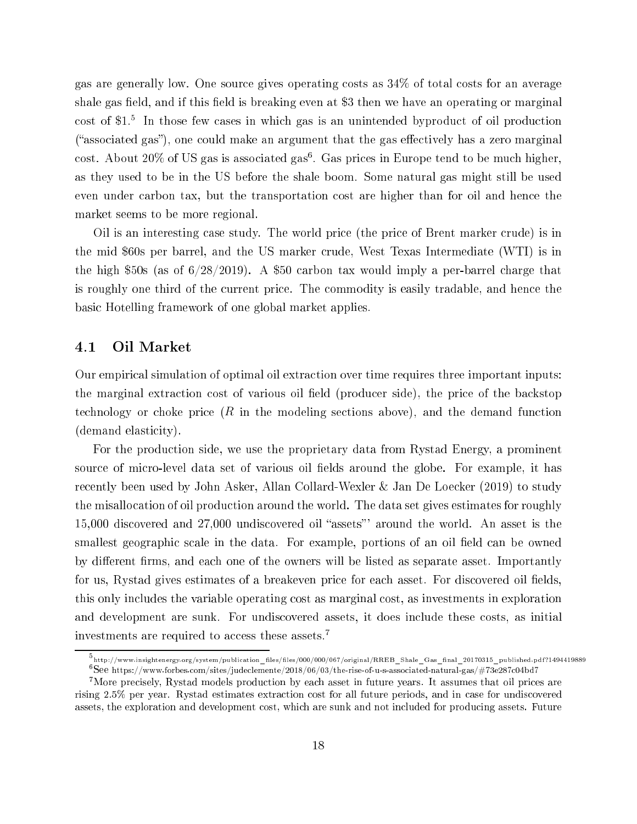gas are generally low. One sour
e gives operating osts as 34% of total osts for an average shale gas field, and if this field is breaking even at \$3 then we have an operating or marginal  $\cos$ t of  $\mathfrak{g}_1$ . In those few cases in which gas is an unintended byproduct of on production ("associated gas"), one could make an argument that the gas effectively has a zero marginal cost. About 20% of US gas is associated gas4. Gas prices in Europe tend to be much higher, as they used to be in the US before the shale boom. Some natural gas might still be used even under carbon tax, but the transportation cost are higher than for oil and hence the market seems to be more regional.

Oil is an interesting case study. The world price (the price of Brent marker crude) is in the mid \$60s per barrel, and the US marker crude, West Texas Intermediate (WTI) is in the high  $$50s$  (as of  $6/28/2019$ ). A \$50 carbon tax would imply a per-barrel charge that is roughly one third of the urrent pri
e. The ommodity is easily tradable, and hen
e the basi Hotelling framework of one global market applies.

## 4.1 Oil Market

Our empirical simulation of optimal oil extraction over time requires three important inputs: the marginal extraction cost of various oil field (producer side), the price of the backstop technology or choke price  $(R$  in the modeling sections above), and the demand function (demand elasticity).

For the produ
tion side, we use the proprietary data from Rystad Energy, a prominent source of micro-level data set of various oil fields around the globe. For example, it has recently been used by John Asker, Allan Collard-Wexler & Jan De Loecker (2019) to study the misallo
ation of oil produ
tion around the world. The data set gives estimates for roughly 15,000 discovered and 27,000 undiscovered oil "assets" around the world. An asset is the smallest geographic scale in the data. For example, portions of an oil field can be owned by different firms, and each one of the owners will be listed as separate asset. Importantly for us, Rystad gives estimates of a breakeven price for each asset. For discovered oil fields. this only in
ludes the variable operating ost as marginal ost, as investments in exploration and development are sunk. For undiscovered assets, it does include these costs, as initial investments are required to access these assets.<sup>7</sup>

<sup>&</sup>quot;http://www.insightenergy.org/system/publication\_files/files/000/007/original/RREB\_Shale\_Gas\_final\_20170315\_published.pdf?1494419889 f See Intips://www.forbes.com/sites/judeclemente/2018/06/03/the-rise-of-u-s-associated-natural-gas/#73e287c04bd7

<sup>&</sup>lt;sup>7</sup>More precisely, Rystad models production by each asset in future years. It assumes that oil prices are rising 2.5% per year. Rystad estimates extraction cost for all future periods, and in case for undiscovered assets, the exploration and development ost, whi
h are sunk and not in
luded for produ
ing assets. Future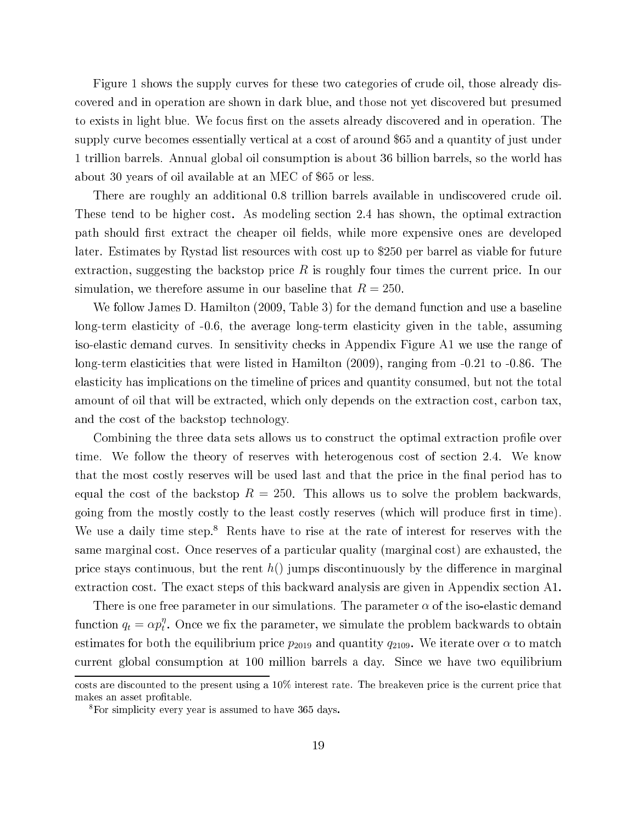Figure 1 shows the supply curves for these two categories of crude oil, those already disovered and in operation are shown in dark blue, and those not yet dis
overed but presumed to exists in light blue. We focus first on the assets already discovered and in operation. The supply curve becomes essentially vertical at a cost of around \$65 and a quantity of just under 1 trillion barrels. Annual global oil onsumption is about 36 billion barrels, so the world has about 30 years of oil available at an MEC of \$65 or less.

There are roughly an additional 0.8 trillion barrels available in undiscovered crude oil. These tend to be higher cost. As modeling section 2.4 has shown, the optimal extraction path should first extract the cheaper oil fields, while more expensive ones are developed later. Estimates by Rystad list resour
es with ost up to \$250 per barrel as viable for future extraction, suggesting the backstop price  $R$  is roughly four times the current price. In our simulation, we therefore assume in our baseline that  $R = 250$ .

We follow James D. Hamilton (2009, Table 3) for the demand function and use a baseline long-term elasticity of  $-0.6$ , the average long-term elasticity given in the table, assuming iso-elasti demand urves. In sensitivity he
ks in Appendix Figure A1 we use the range of long-term elasticities that were listed in Hamilton (2009), ranging from -0.21 to -0.86. The elasticity has implications on the timeline of prices and quantity consumed, but not the total amount of oil that will be extracted, which only depends on the extraction cost, carbon tax, and the ost of the ba
kstop te
hnology.

Combining the three data sets allows us to construct the optimal extraction profile over time. We follow the theory of reserves with heterogenous cost of section 2.4. We know that the most costly reserves will be used last and that the price in the final period has to equal the cost of the backstop  $R = 250$ . This allows us to solve the problem backwards. going from the mostly costly to the least costly reserves (which will produce first in time). We use a daily time step.<sup>8</sup> Rents have to rise at the rate of interest for reserves with the same marginal cost. Once reserves of a particular quality (marginal cost) are exhausted, the price stays continuous, but the rent  $h()$  jumps discontinuously by the difference in marginal extraction cost. The exact steps of this backward analysis are given in Appendix section A1.

There is one free parameter in our simulations. The parameter  $\alpha$  of the iso-elastic demand function  $q_t = \alpha p_t^{\eta}$  $_t$ . Once we iix the parameter, we simulate the problem backwards to obtain estimates for both the equilibrium price  $p_{2019}$  and quantity  $q_{2109}$ . We iterate over  $\alpha$  to match urrent global onsumption at 100 million barrels a day. Sin
e we have two equilibrium

costs are discounted to the present using a 10% interest rate. The breakeven price is the current price that makes an asset profitable.

<sup>8</sup> For simpli
ity every year is assumed to have 365 days.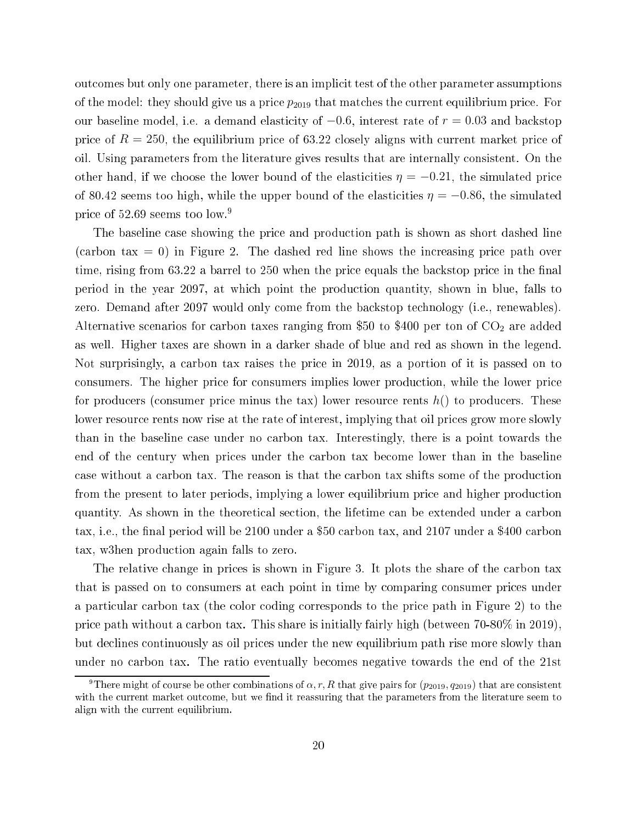outcomes but only one parameter, there is an implicit test of the other parameter assumptions of the model: they should give us a price  $p_{2019}$  that matches the current equilibrium price. For our baseline model, i.e. a demand elasticity of  $-0.6$ , interest rate of  $r = 0.03$  and backstop price of  $R = 250$ , the equilibrium price of 63.22 closely aligns with current market price of oil. Using parameters from the literature gives results that are internally consistent. On the other hand, if we choose the lower bound of the elasticities  $\eta = -0.21$ , the simulated price of 80.42 seems too high, while the upper bound of the elasticities  $\eta = -0.86$ , the simulated pri
e of 52.69 seems too low.9

The baseline case showing the price and production path is shown as short dashed line  $(\text{carbon tax} = 0)$  in Figure 2. The dashed red line shows the increasing price path over time, rising from 63.22 a barrel to 250 when the price equals the backstop price in the final period in the year 2097, at whi
h point the produ
tion quantity, shown in blue, falls to zero. Demand after 2097 would only ome from the ba
kstop te
hnology (i.e., renewables). Alternative scenarios for carbon taxes ranging from \$50 to \$400 per ton of  $CO<sub>2</sub>$  are added as well. Higher taxes are shown in a darker shade of blue and red as shown in the legend. Not surprisingly, a arbon tax raises the pri
e in 2019, as a portion of it is passed on to consumers. The higher price for consumers implies lower production, while the lower price for producers (consumer price minus the tax) lower resource rents  $h()$  to producers. These lower resource rents now rise at the rate of interest, implying that oil prices grow more slowly than in the baseline ase under no arbon tax. Interestingly, there is a point towards the end of the entury when pri
es under the arbon tax be
ome lower than in the baseline case without a carbon tax. The reason is that the carbon tax shifts some of the production from the present to later periods, implying a lower equilibrium price and higher production quantity. As shown in the theoretical section, the lifetime can be extended under a carbon tax, i.e., the final period will be 2100 under a \$50 carbon tax, and 2107 under a \$400 carbon tax, w3hen produ
tion again falls to zero.

The relative change in prices is shown in Figure 3. It plots the share of the carbon tax that is passed on to onsumers at ea
h point in time by omparing onsumer pri
es under a particular carbon tax (the color coding corresponds to the price path in Figure 2) to the price path without a carbon tax. This share is initially fairly high (between 70-80% in 2019). but de
lines ontinuously as oil pri
es under the new equilibrium path rise more slowly than under no arbon tax. The ratio eventually be
omes negative towards the end of the 21st

<sup>&</sup>lt;sup>9</sup>There might of course be other combinations of  $\alpha, r, R$  that give pairs for  $(p_{2019}, q_{2019})$  that are consistent with the current market outcome, but we find it reassuring that the parameters from the literature seem to align with the urrent equilibrium.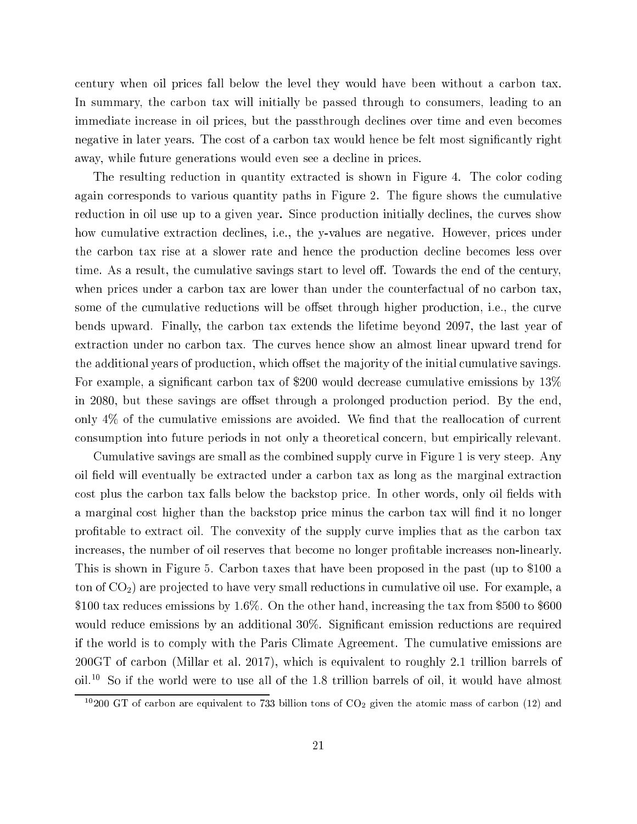entury when oil pri
es fall below the level they would have been without a arbon tax. In summary, the carbon tax will initially be passed through to consumers, leading to an immediate increase in oil prices, but the passthrough declines over time and even becomes negative in later years. The cost of a carbon tax would hence be felt most significantly right away, while future generations would even see a decline in prices.

The resulting reduction in quantity extracted is shown in Figure 4. The color coding again corresponds to various quantity paths in Figure 2. The figure shows the cumulative reduction in oil use up to a given year. Since production initially declines, the curves show how cumulative extraction declines, i.e., the y-values are negative. However, prices under the arbon tax rise at a slower rate and hen
e the produ
tion de
line be
omes less over time. As a result, the cumulative savings start to level off. Towards the end of the century, when prices under a carbon tax are lower than under the counterfactual of no carbon tax. some of the cumulative reductions will be offset through higher production, i.e., the curve bends upward. Finally, the arbon tax extends the lifetime beyond 2097, the last year of extra
tion under no arbon tax. The urves hen
e show an almost linear upward trend for the additional years of production, which offset the majority of the initial cumulative savings. For example, a significant carbon tax of \$200 would decrease cumulative emissions by 13% in 2080, but these savings are offset through a prolonged production period. By the end, only  $4\%$  of the cumulative emissions are avoided. We find that the reallocation of current onsumption into future periods in not only a theoreti
al on
ern, but empiri
ally relevant.

Cumulative savings are small as the ombined supply urve in Figure 1 is very steep. Any oil field will eventually be extracted under a carbon tax as long as the marginal extraction cost plus the carbon tax falls below the backstop price. In other words, only oil fields with a marginal cost higher than the backstop price minus the carbon tax will find it no longer profitable to extract oil. The convexity of the supply curve implies that as the carbon tax increases, the number of oil reserves that become no longer profitable increases non-linearly. This is shown in Figure 5. Carbon taxes that have been proposed in the past (up to \$100 a ton of  $CO<sub>2</sub>$ ) are projected to have very small reductions in cumulative oil use. For example, a \$100 tax redu
es emissions by 1.6%. On the other hand, in
reasing the tax from \$500 to \$600 would reduce emissions by an additional 30%. Significant emission reductions are required if the world is to omply with the Paris Climate Agreement. The umulative emissions are 200GT of arbon (Millar et al. 2017), whi
h is equivalent to roughly 2.1 trillion barrels of oil.10 So if the world were to use all of the 1.8 trillion barrels of oil, it would have almost

<sup>&</sup>lt;sup>10</sup>200 GT of carbon are equivalent to 733 billion tons of  $CO<sub>2</sub>$  given the atomic mass of carbon (12) and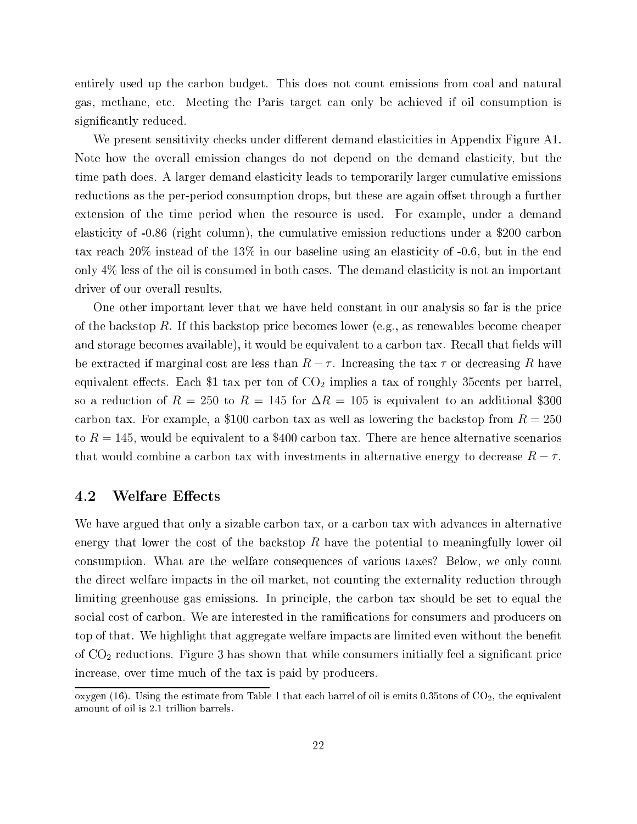entirely used up the carbon budget. This does not count emissions from coal and natural gas, methane, et
. Meeting the Paris target an only be a
hieved if oil onsumption is significantly reduced.

We present sensitivity checks under different demand elasticities in Appendix Figure A1. Note how the overall emission changes do not depend on the demand elasticity, but the time path does. A larger demand elasticity leads to temporarily larger cumulative emissions reductions as the per-period consumption drops, but these are again offset through a further extension of the time period when the resour
e is used. For example, under a demand elasticity of -0.86 (right column), the cumulative emission reductions under a \$200 carbon tax reach  $20\%$  instead of the 13% in our baseline using an elasticity of -0.6, but in the end only 4% less of the oil is consumed in both cases. The demand elasticity is not an important driver of our overall results.

One other important lever that we have held onstant in our analysis so far is the pri
e of the ba
kstop R. If this ba
kstop pri
e be
omes lower (e.g., as renewables be
ome heaper and storage becomes available), it would be equivalent to a carbon tax. Recall that fields will be extracted if marginal cost are less than  $R-\tau$ . Increasing the tax  $\tau$  or decreasing R have equivalent effects. Each \$1 tax per ton of  $CO<sub>2</sub>$  implies a tax of roughly 35cents per barrel, so a reduction of  $R = 250$  to  $R = 145$  for  $\Delta R = 105$  is equivalent to an additional \$300 carbon tax. For example, a \$100 carbon tax as well as lowering the backstop from  $R = 250$ to  $R = 145$ , would be equivalent to a \$400 carbon tax. There are hence alternative scenarios that would combine a carbon tax with investments in alternative energy to decrease  $R - \tau$ .

## 4.2 Welfare Effects

We have argued that only a sizable carbon tax, or a carbon tax with advances in alternative energy that lower the cost of the backstop  $R$  have the potential to meaningfully lower oil consumption. What are the welfare consequences of various taxes? Below, we only count the direct welfare impacts in the oil market, not counting the externality reduction through limiting greenhouse gas emissions. In principle, the carbon tax should be set to equal the social cost of carbon. We are interested in the ramifications for consumers and producers on top of that. We highlight that aggregate welfare impacts are limited even without the benefit of  $CO<sub>2</sub>$  reductions. Figure 3 has shown that while consumers initially feel a significant price increase, over time much of the tax is paid by producers.

oxygen (16). Using the estimate from Table 1 that each barrel of oil is emits  $0.35$ tons of  $CO<sub>2</sub>$ , the equivalent amount of oil is 2.1 trillion barrels.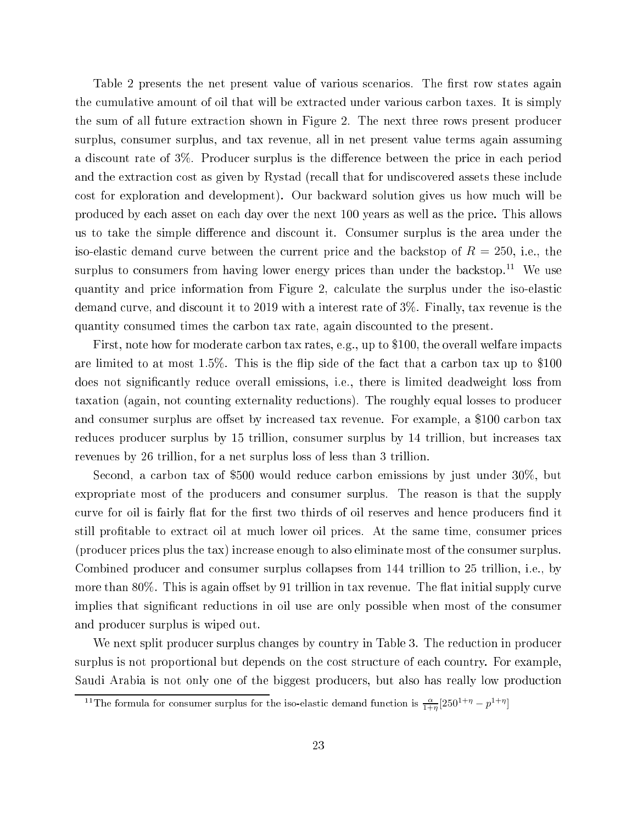Table 2 presents the net present value of various scenarios. The first row states again the cumulative amount of oil that will be extracted under various carbon taxes. It is simply the sum of all future extraction shown in Figure 2. The next three rows present producer surplus, onsumer surplus, and tax revenue, all in net present value terms again assuming a discount rate of 3\%. Producer surplus is the difference between the price in each period and the extraction cost as given by Rystad (recall that for undiscovered assets these include cost for exploration and development). Our backward solution gives us how much will be produ
ed by ea
h asset on ea
h day over the next 100 years as well as the pri
e. This allows us to take the simple difference and discount it. Consumer surplus is the area under the iso-elastic demand curve between the current price and the backstop of  $R = 250$ , i.e., the surplus to consumers from having lower energy prices than under the backstop.<sup>11</sup> We use quantity and pri
e information from Figure 2, al
ulate the surplus under the iso-elasti demand curve, and discount it to 2019 with a interest rate of 3%. Finally, tax revenue is the quantity onsumed times the arbon tax rate, again dis
ounted to the present.

First, note how for moderate carbon tax rates, e.g., up to \$100, the overall welfare impacts are limited to at most  $1.5\%$ . This is the flip side of the fact that a carbon tax up to \$100 does not significantly reduce overall emissions, i.e., there is limited deadweight loss from taxation (again, not ounting externality redu
tions). The roughly equal losses to produ
er and consumer surplus are offset by increased tax revenue. For example, a \$100 carbon tax reduces producer surplus by 15 trillion, consumer surplus by 14 trillion, but increases tax revenues by 26 trillion, for a net surplus loss of less than 3 trillion.

Second, a carbon tax of \$500 would reduce carbon emissions by just under 30%, but expropriate most of the producers and consumer surplus. The reason is that the supply curve for oil is fairly flat for the first two thirds of oil reserves and hence producers find it still profitable to extract oil at much lower oil prices. At the same time, consumer prices (produ
er pri
es plus the tax) in
rease enough to also eliminate most of the onsumer surplus. Combined produ
er and onsumer surplus ollapses from 144 trillion to 25 trillion, i.e., by more than  $80\%$ . This is again offset by 91 trillion in tax revenue. The flat initial supply curve implies that significant reductions in oil use are only possible when most of the consumer and produ
er surplus is wiped out.

We next split producer surplus changes by country in Table 3. The reduction in producer surplus is not proportional but depends on the cost structure of each country. For example, Saudi Arabia is not only one of the biggest producers, but also has really low production

<sup>&</sup>lt;sup>11</sup>The formula for consumer surplus for the iso-elastic demand function is  $\frac{\alpha}{1+\eta}$ [250<sup>1+η</sup> –  $p^{1+\eta}$ ]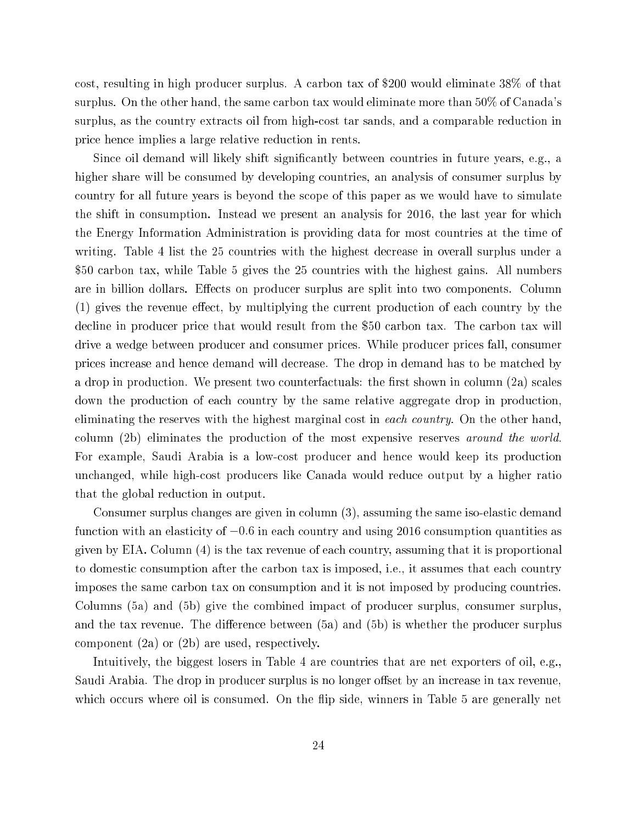cost, resulting in high producer surplus. A carbon tax of \$200 would eliminate 38\% of that surplus. On the other hand, the same carbon tax would eliminate more than 50% of Canada's surplus, as the country extracts oil from high-cost tar sands, and a comparable reduction in pri
e hen
e implies a large relative redu
tion in rents.

Since oil demand will likely shift significantly between countries in future years, e.g., a higher share will be consumed by developing countries, an analysis of consumer surplus by ountry for all future years is beyond the s
ope of this paper as we would have to simulate the shift in onsumption. Instead we present an analysis for 2016, the last year for whi
h the Energy Information Administration is providing data for most ountries at the time of writing. Table 4 list the 25 countries with the highest decrease in overall surplus under a \$50 arbon tax, while Table 5 gives the 25 ountries with the highest gains. All numbers are in billion dollars. Effects on producer surplus are split into two components. Column (1) gives the revenue effect, by multiplying the current production of each country by the decline in producer price that would result from the \$50 carbon tax. The carbon tax will drive a wedge between produ
er and onsumer pri
es. While produ
er pri
es fall, onsumer prices increase and hence demand will decrease. The drop in demand has to be matched by a drop in production. We present two counterfactuals: the first shown in column (2a) scales down the production of each country by the same relative aggregate drop in production. eliminating the reserves with the highest marginal cost in each country. On the other hand, column (2b) eliminates the production of the most expensive reserves around the world. For example, Saudi Arabia is a lowost produ
er and hen
e would keep its produ
tion unchanged, while high-cost producers like Canada would reduce output by a higher ratio that the global reduction in output.

Consumer surplus changes are given in column (3), assuming the same iso-elastic demand function with an elasticity of  $-0.6$  in each country and using 2016 consumption quantities as given by EIA. Column (4) is the tax revenue of ea
h ountry, assuming that it is proportional to domestic consumption after the carbon tax is imposed, i.e., it assumes that each country imposes the same carbon tax on consumption and it is not imposed by producing countries. Columns (5a) and (5b) give the ombined impa
t of produ
er surplus, onsumer surplus, and the tax revenue. The difference between  $(5a)$  and  $(5b)$  is whether the producer surplus component  $(2a)$  or  $(2b)$  are used, respectively.

Intuitively, the biggest losers in Table 4 are countries that are net exporters of oil, e.g., Saudi Arabia. The drop in producer surplus is no longer offset by an increase in tax revenue. which occurs where oil is consumed. On the flip side, winners in Table 5 are generally net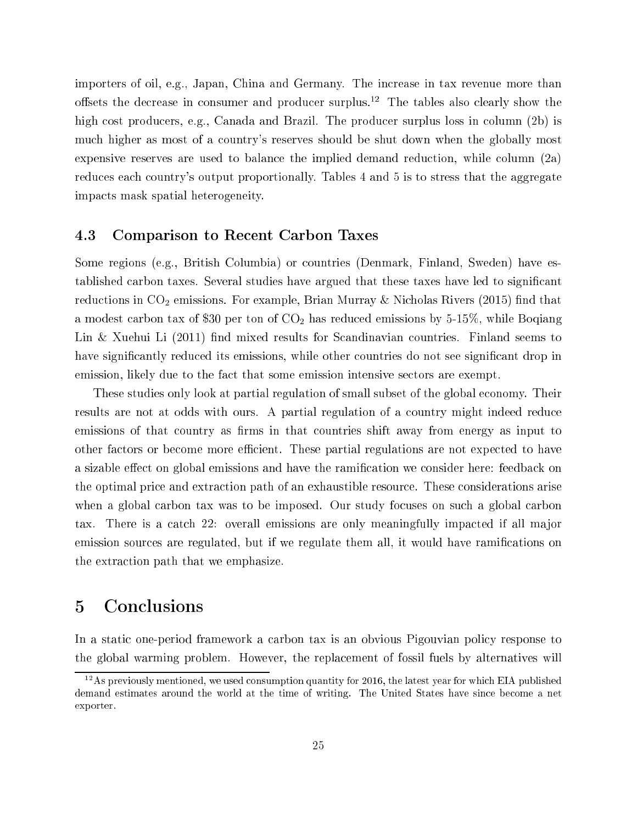importers of oil, e.g., Japan, China and Germany. The increase in tax revenue more than offsets the decrease in consumer and producer surplus.<sup>12</sup> The tables also clearly show the high cost producers, e.g., Canada and Brazil. The producer surplus loss in column (2b) is mu
h higher as most of a ountry's reserves should be shut down when the globally most expensive reserves are used to balance the implied demand reduction, while column (2a) reduces each country's output proportionally. Tables 4 and 5 is to stress that the aggregate impa
ts mask spatial heterogeneity.

## 4.3 Comparison to Re
ent Carbon Taxes

Some regions (e.g., British Columbia) or ountries (Denmark, Finland, Sweden) have established carbon taxes. Several studies have argued that these taxes have led to significant reductions in  $CO<sub>2</sub>$  emissions. For example, Brian Murray & Nicholas Rivers (2015) find that a modest carbon tax of \$30 per ton of  $CO<sub>2</sub>$  has reduced emissions by 5-15%, while Boqiang Lin & Xuehui Li  $(2011)$  find mixed results for Scandinavian countries. Finland seems to have significantly reduced its emissions, while other countries do not see significant drop in emission, likely due to the fact that some emission intensive sectors are exempt.

These studies only look at partial regulation of small subset of the global economy. Their results are not at odds with ours. A partial regulation of a country might indeed reduce emissions of that country as firms in that countries shift away from energy as input to other factors or become more efficient. These partial regulations are not expected to have a sizable effect on global emissions and have the ramification we consider here: feedback on the optimal pri
e and extra
tion path of an exhaustible resour
e. These onsiderations arise when a global carbon tax was to be imposed. Our study focuses on such a global carbon tax. There is a catch 22: overall emissions are only meaningfully impacted if all major emission sources are regulated, but if we regulate them all, it would have ramifications on the extra
tion path that we emphasize.

# 5 Con
lusions

In a static one-period framework a carbon tax is an obvious Pigouvian policy response to the global warming problem. However, the repla
ement of fossil fuels by alternatives will

 $12$ As previously mentioned, we used consumption quantity for 2016, the latest year for which EIA published demand estimates around the world at the time of writing. The United States have sin
e be
ome a net exporter.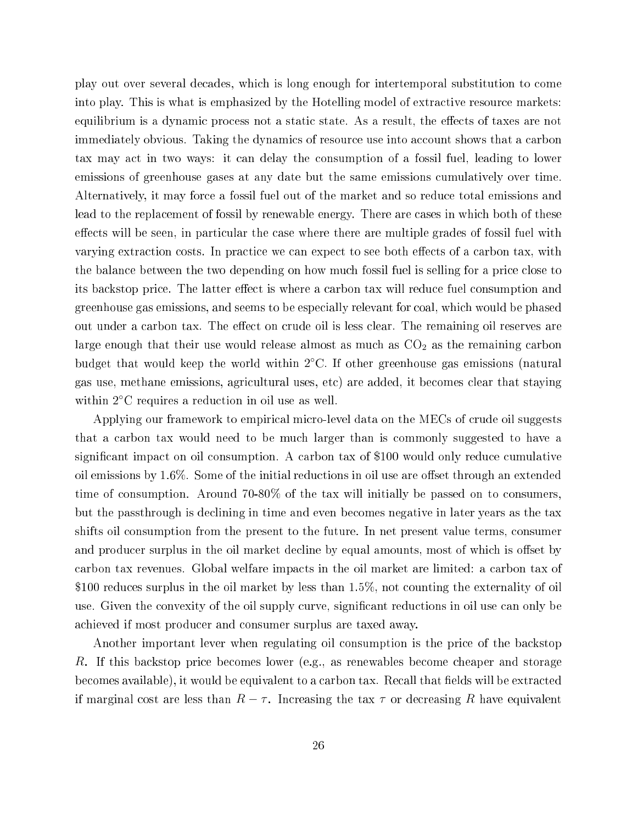play out over several de
ades, whi
h is long enough for intertemporal substitution to ome into play. This is what is emphasized by the Hotelling model of extractive resource markets: equilibrium is a dynamic process not a static state. As a result, the effects of taxes are not immediately obvious. Taking the dynamics of resource use into account shows that a carbon tax may act in two ways: it can delay the consumption of a fossil fuel, leading to lower emissions of greenhouse gases at any date but the same emissions umulatively over time. Alternatively, it may for
e a fossil fuel out of the market and so redu
e total emissions and lead to the replacement of fossil by renewable energy. There are cases in which both of these effects will be seen, in particular the case where there are multiple grades of fossil fuel with varying extraction costs. In practice we can expect to see both effects of a carbon tax, with the balance between the two depending on how much fossil fuel is selling for a price close to its backstop price. The latter effect is where a carbon tax will reduce fuel consumption and greenhouse gas emissions, and seems to be especially relevant for coal, which would be phased out under a carbon tax. The effect on crude oil is less clear. The remaining oil reserves are large enough that their use would release almost as much as  $CO<sub>2</sub>$  as the remaining carbon budget that would keep the world within 2 ◦C. If other greenhouse gas emissions (natural gas use, methane emissions, agricultural uses, etc) are added, it becomes clear that staying within 2<sup>°</sup>C requires a reduction in oil use as well.

Applying our framework to empirical micro-level data on the MECs of crude oil suggests that a arbon tax would need to be mu
h larger than is ommonly suggested to have a significant impact on oil consumption. A carbon tax of \$100 would only reduce cumulative oil emissions by  $1.6\%$ . Some of the initial reductions in oil use are offset through an extended time of consumption. Around 70-80% of the tax will initially be passed on to consumers. but the passthrough is de
lining in time and even be
omes negative in later years as the tax shifts oil consumption from the present to the future. In net present value terms, consumer and producer surplus in the oil market decline by equal amounts, most of which is offset by carbon tax revenues. Global welfare impacts in the oil market are limited: a carbon tax of \$100 reduces surplus in the oil market by less than 1.5%, not counting the externality of oil use. Given the convexity of the oil supply curve, significant reductions in oil use can only be a
hieved if most produ
er and onsumer surplus are taxed away.

Another important lever when regulating oil consumption is the price of the backstop R. If this backstop price becomes lower (e.g., as renewables become cheaper and storage becomes available), it would be equivalent to a carbon tax. Recall that fields will be extracted if marginal cost are less than  $R - \tau$ . Increasing the tax  $\tau$  or decreasing R have equivalent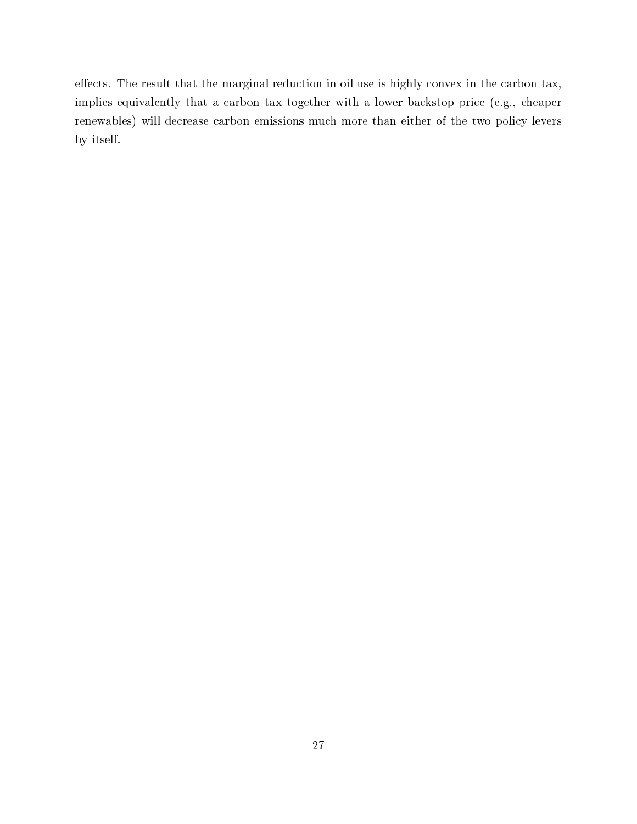effects. The result that the marginal reduction in oil use is highly convex in the carbon tax, implies equivalently that a carbon tax together with a lower backstop price (e.g., cheaper renewables) will decrease carbon emissions much more than either of the two policy levers by itself.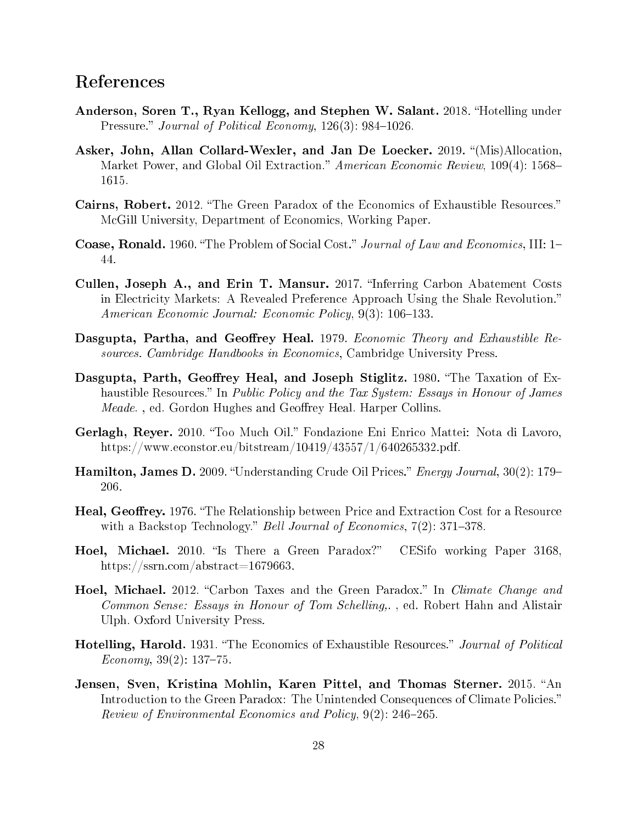# Referen
es

- Anderson, Soren T., Ryan Kellogg, and Stephen W. Salant. 2018. "Hotelling under Pressure." Journal of Political Economy,  $126(3)$ : 984–1026.
- Asker, John, Allan Collard-Wexler, and Jan De Loecker. 2019. "(Mis)Allocation, Market Power, and Global Oil Extraction." American Economic Review, 109(4): 1568– 1615.
- Cairns, Robert. 2012. "The Green Paradox of the Economics of Exhaustible Resources." McGill University, Department of Economics, Working Paper.
- **Coase, Ronald.** 1960. "The Problem of Social Cost." Journal of Law and Economics, III: 1– 44.
- Cullen, Joseph A., and Erin T. Mansur. 2017. "Inferring Carbon Abatement Costs in Electricity Markets: A Revealed Preference Approach Using the Shale Revolution." American Economic Journal: Economic Policy, 9(3): 106–133.
- Dasgupta, Partha, and Geoffrey Heal. 1979. Economic Theory and Exhaustible Resour
es. Cambridge Handbooks in E
onomi
s, Cambridge University Press.
- Dasgupta, Parth, Geoffrey Heal, and Joseph Stiglitz. 1980. "The Taxation of Exhaustible Resources." In Public Policy and the Tax System: Essays in Honour of James *Meade.*, ed. Gordon Hughes and Geoffrey Heal. Harper Collins.
- Gerlagh, Reyer. 2010. "Too Much Oil." Fondazione Eni Enrico Mattei: Nota di Lavoro, https://www.e
onstor.eu/bitstream/10419/43557/1/640265332.pdf.
- **Hamilton, James D.** 2009. "Understanding Crude Oil Prices." *Energy Journal*, 30(2): 179– 206.
- **Heal, Geoffrey.** 1976. "The Relationship between Price and Extraction Cost for a Resource with a Backstop Technology." Bell Journal of Economics, 7(2): 371-378.
- Hoel, Michael. 2010. "Is There a Green Paradox?" CESifo working Paper 3168, https://ssrn.
om/abstra
t=1679663.
- Hoel, Michael. 2012. "Carbon Taxes and the Green Paradox." In *Climate Change and* Common Sense: Essays in Honour of Tom Schelling,., ed. Robert Hahn and Alistair Ulph. Oxford University Press.
- Hotelling, Harold. 1931. "The Economics of Exhaustible Resources." Journal of Political  $Economy, 39(2): 137-75.$
- Jensen, Sven, Kristina Mohlin, Karen Pittel, and Thomas Sterner. 2015. "An Introduction to the Green Paradox: The Unintended Consequences of Climate Policies." Review of Environmental Economics and Policy, 9(2): 246–265.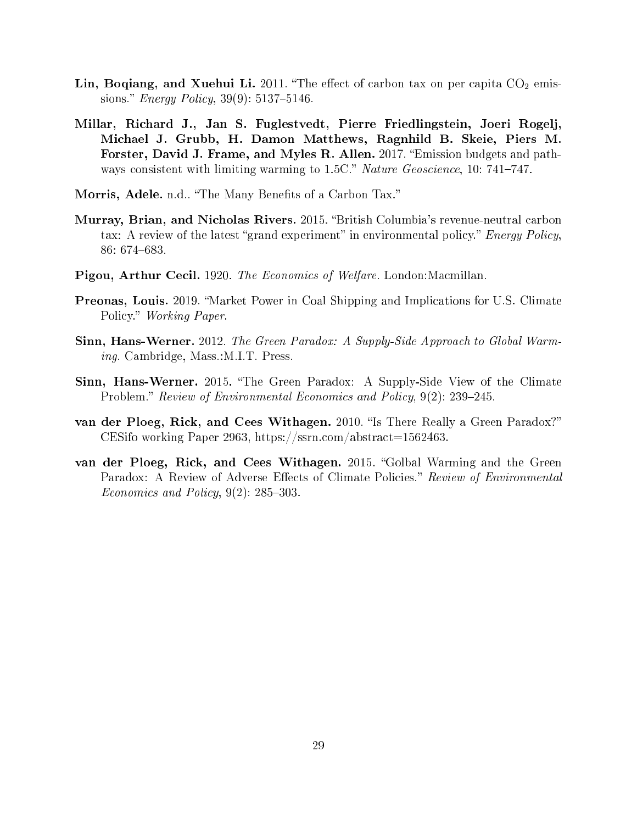- Lin, Boqiang, and Xuehui Li. 2011. "The effect of carbon tax on per capita  $CO<sub>2</sub>$  emissions." *Energy Policy*,  $39(9)$ :  $5137-5146$ .
- Millar, Ri
hard J., Jan S. Fuglestvedt, Pierre Friedlingstein, Joeri Rogelj, Mi
hael J. Grubb, H. Damon Matthews, Ragnhild B. Skeie, Piers M. Forster, David J. Frame, and Myles R. Allen. 2017. "Emission budgets and pathways consistent with limiting warming to 1.5C." Nature Geoscience, 10: 741-747.
- Morris, Adele. n.d.. "The Many Benefits of a Carbon Tax."
- Murray, Brian, and Nicholas Rivers. 2015. "British Columbia's revenue-neutral carbon tax: A review of the latest "grand experiment" in environmental policy." Energy Policy, 86: 674–683.
- Pigou, Arthur Cecil. 1920. The Economics of Welfare. London: Macmillan.
- **Preonas, Louis.** 2019. "Market Power in Coal Shipping and Implications for U.S. Climate Policy." Working Paper.
- Sinn, Hans-Werner. 2012. The Green Paradox: A Supply-Side Approach to Global Warming. Cambridge, Mass.:M.I.T. Press.
- Sinn, Hans-Werner. 2015. "The Green Paradox: A Supply-Side View of the Climate Problem." Review of Environmental Economics and Policy,  $9(2)$ : 239–245.
- van der Ploeg, Rick, and Cees Withagen. 2010. "Is There Really a Green Paradox?" CESifo working Paper 2963, https://ssrn.com/abstract=1562463.
- van der Ploeg, Rick, and Cees Withagen. 2015. "Golbal Warming and the Green Paradox: A Review of Adverse Effects of Climate Policies." Review of Environmental Economics and Policy,  $9(2)$ : 285-303.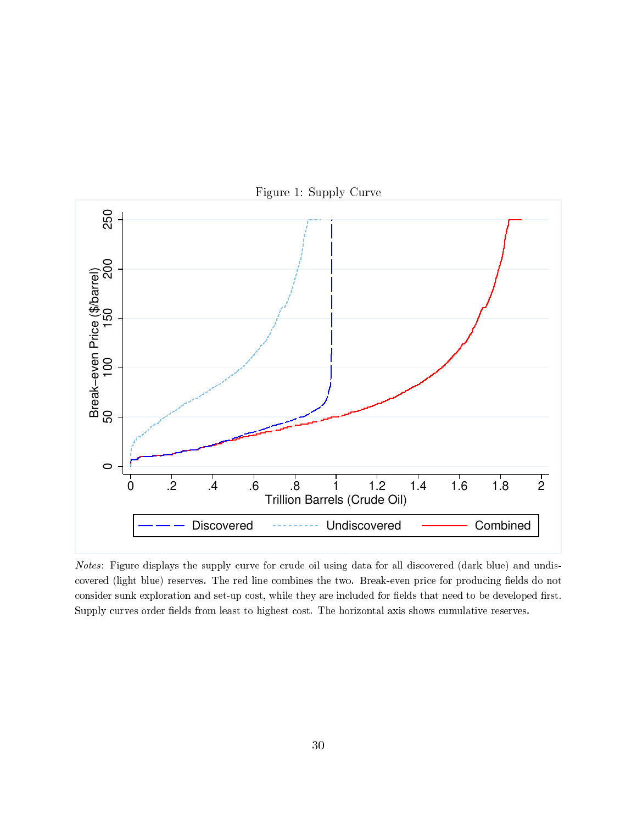

Figure 1: Supply Curve

Notes: Figure displays the supply curve for crude oil using data for all discovered (dark blue) and undiscovered (light blue) reserves. The red line combines the two. Break-even price for producing fields do not consider sunk exploration and set-up cost, while they are included for fields that need to be developed first. Supply curves order fields from least to highest cost. The horizontal axis shows cumulative reserves.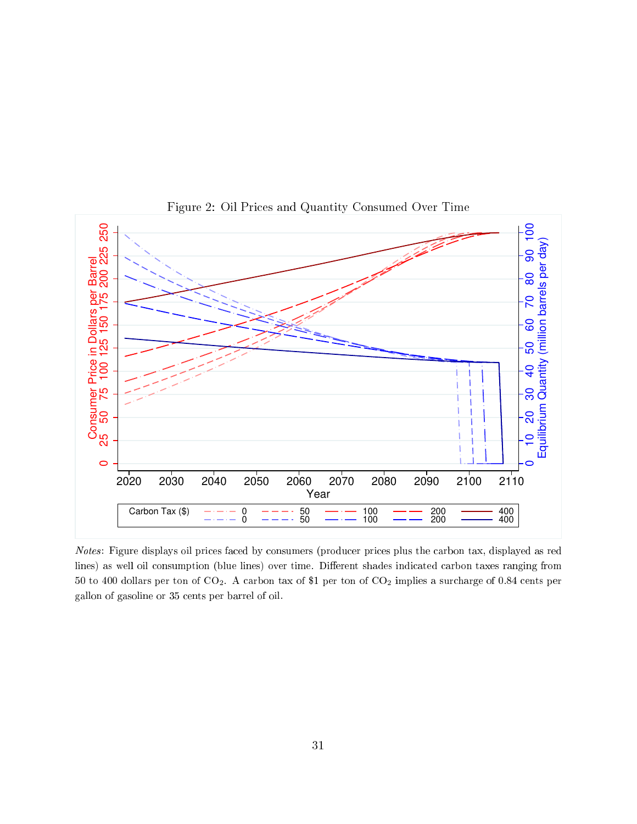

Figure 2: Oil Pri
es and Quantity Consumed Over Time

Notes: Figure displays oil prices faced by consumers (producer prices plus the carbon tax, displayed as red lines) as well oil consumption (blue lines) over time. Different shades indicated carbon taxes ranging from <sup>50</sup> to <sup>400</sup> dollars per ton of CO2. <sup>A</sup> arbon tax of \$1 per ton of CO2 implies <sup>a</sup> sur
harge of 0.84 ents per gallon of gasoline or 35 ents per barrel of oil.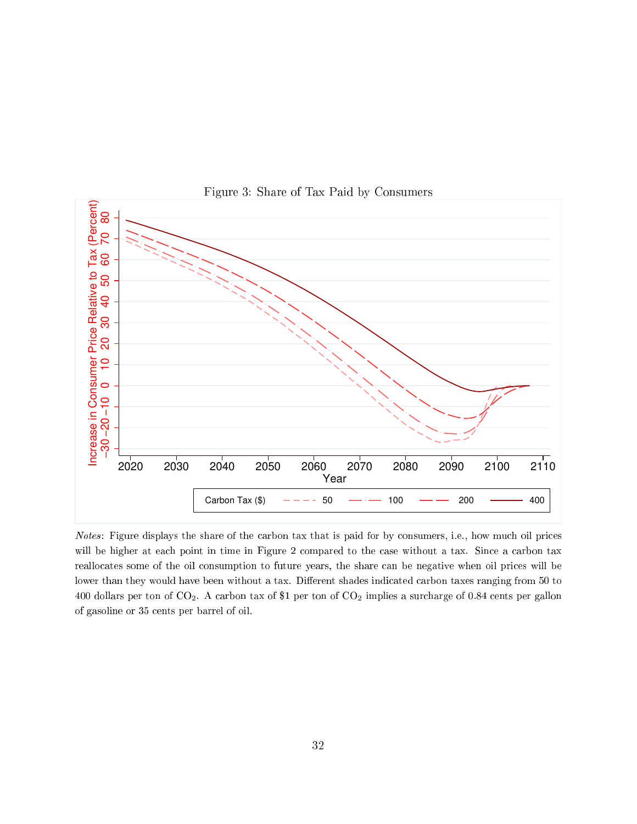

Figure 3: Share of Tax Paid by Consumers

Notes: Figure displays the share of the carbon tax that is paid for by consumers, i.e., how much oil prices will be higher at each point in time in Figure 2 compared to the case without a tax. Since a carbon tax reallocates some of the oil consumption to future years, the share can be negative when oil prices will be lower than they would have been without a tax. Different shades indicated carbon taxes ranging from 50 to 400 dollars per ton of  $CO_2$ . A carbon tax of \$1 per ton of  $CO_2$  implies a surcharge of 0.84 cents per gallon of gasoline or 35 ents per barrel of oil.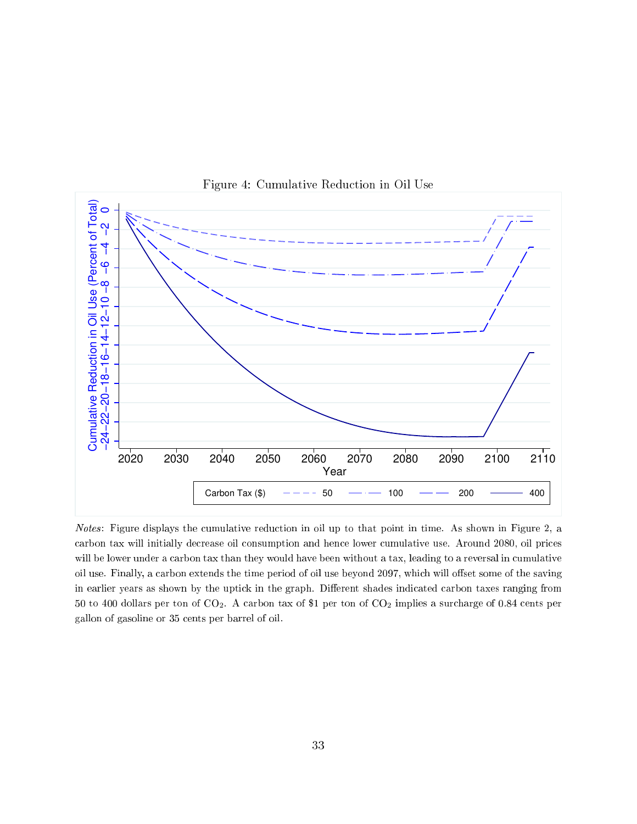

Figure 4: Cumulative Redu
tion in Oil Use

Notes: Figure displays the cumulative reduction in oil up to that point in time. As shown in Figure 2, a carbon tax will initially decrease oil consumption and hence lower cumulative use. Around 2080, oil prices will be lower under a carbon tax than they would have been without a tax, leading to a reversal in cumulative oil use. Finally, a carbon extends the time period of oil use beyond 2097, which will offset some of the saving in earlier years as shown by the uptick in the graph. Different shades indicated carbon taxes ranging from <sup>50</sup> to <sup>400</sup> dollars per ton of CO2. <sup>A</sup> arbon tax of \$1 per ton of CO2 implies <sup>a</sup> sur
harge of 0.84 ents per gallon of gasoline or 35 ents per barrel of oil.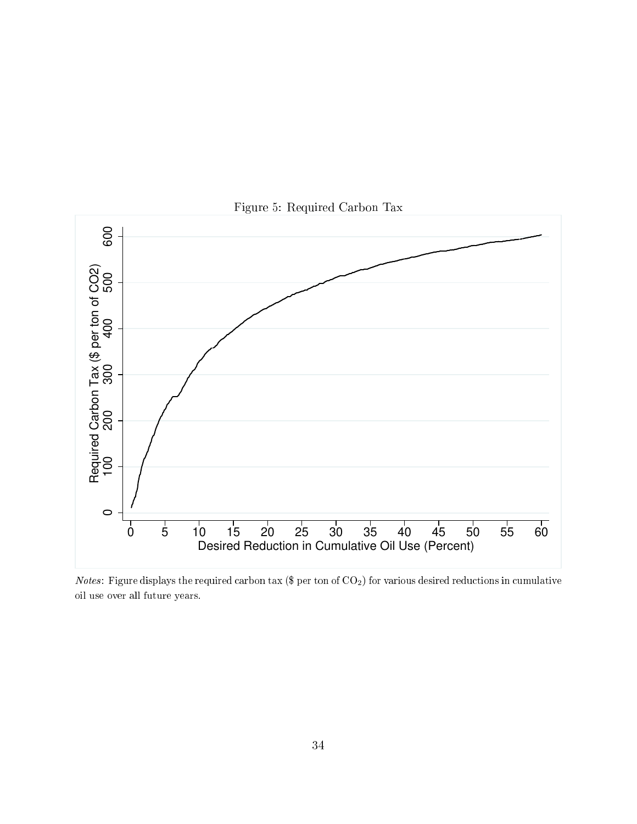

Figure 5: Required Carbon Tax

Notes: Figure displays the required carbon tax (\$ per ton of  $CO<sub>2</sub>$ ) for various desired reductions in cumulative oil use over all future years.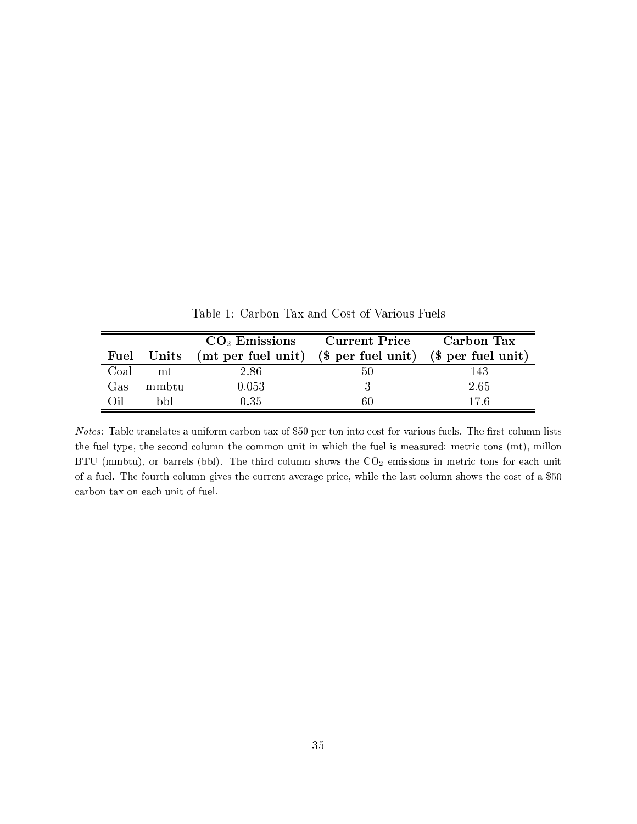|      | Fuel Units | $CO2$ Emissions Current Price<br>(mt per fuel unit) (\$ per fuel unit) (\$ per fuel unit) |    | Carbon Tax |
|------|------------|-------------------------------------------------------------------------------------------|----|------------|
| Coal | mt         | 2.86                                                                                      | 50 | 143        |
| Gas  | mmbtu      | 0.053                                                                                     |    | 2.65       |
| ∩il  | hhl        | 0.35                                                                                      | 6U | 17 6       |

Table 1: Carbon Tax and Cost of Various Fuels

Notes: Table translates a uniform carbon tax of \$50 per ton into cost for various fuels. The first column lists the fuel type, the second column the common unit in which the fuel is measured: metric tons (mt), millon BTU (mmbtu), or barrels (bbl). The third column shows the  $CO<sub>2</sub>$  emissions in metric tons for each unit of a fuel. The fourth column gives the current average price, while the last column shows the cost of a \$50 arbon tax on ea
h unit of fuel.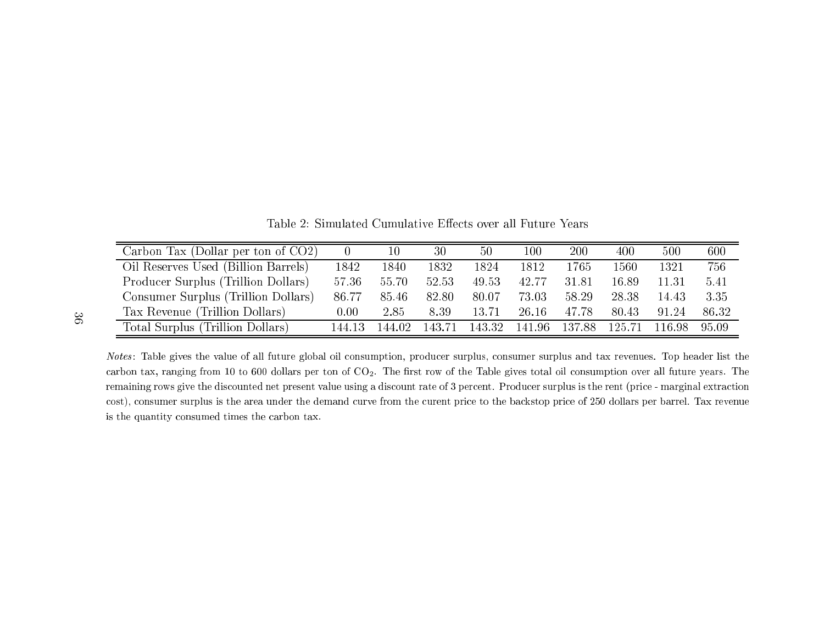Table 2: Simulated Cumulative Effects over all Future Years

| Carbon Tax (Dollar per ton of $CO2$ ) |        | 10     | 30     | $50\,$ | $100\,$ | 200    | 400      | 500    | 600   |
|---------------------------------------|--------|--------|--------|--------|---------|--------|----------|--------|-------|
| Oil Reserves Used (Billion Barrels)   | 1842   | 1840   | 1832   | 1824   | 1812    | 1765   | $1560\,$ | 1321   | 756   |
| Producer Surplus (Trillion Dollars)   | 57.36  | 55.70  | 52.53  | 49.53  | 42.77   | 31.81  | 16.89    | 11.31  | 5.41  |
| Consumer Surplus (Trillion Dollars)   | 86.77  | 85.46  | 82.80  | 80.07  | 73.03   | 58.29  | 28.38    | 14.43  | 3.35  |
| Tax Revenue (Trillion Dollars)        | 0.00   | 2.85   | 8.39   | 13.71  | 26.16   | 47.78  | 80.43    | 91 24  | 86.32 |
| Total Surplus (Trillion Dollars)      | 144 13 | 144 02 | 143.71 | 143.32 | 141.96  | 137.88 | 125.71   | 116.98 | 95.09 |

*Notes*: Table gives the value of all future global oil consumption, producer surplus, consumer surplus and tax revenues. Top header list the  $\alpha$  carbon tax, ranging from 10 to 600 dollars per ton of  $\rm CO_2$ . The first row of the Table gives total oil consumption over all future years. The remaining rows give the discounted net present value using a discount rate of  $3$  percent. Producer surplus is the rent (price - marginal extraction cost), consumer surplus is the area under the demand curve from the curent price to the backstop price of 250 dollars per barrel. Tax revenue<br>. is the quantity onsumed times the arbon tax.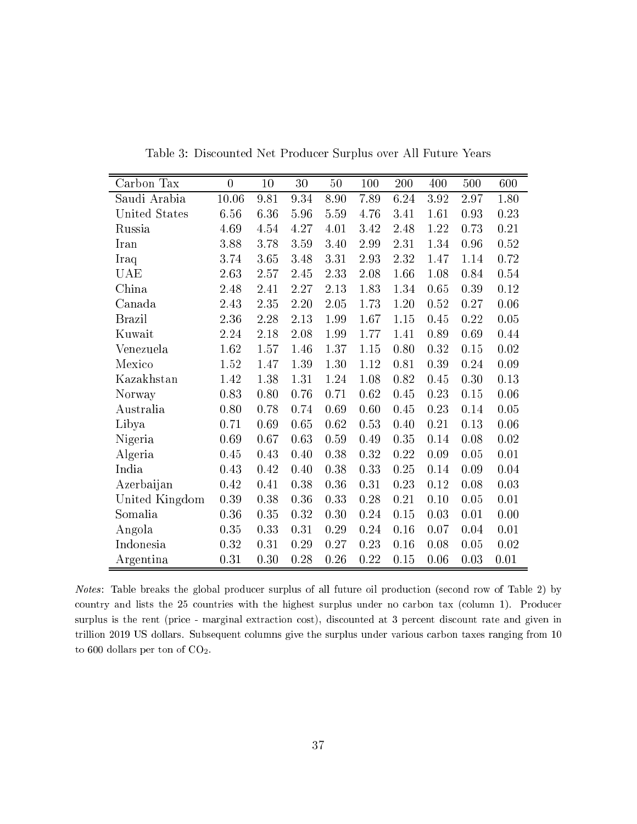| Carbon Tax     | $\overline{0}$ | 10   | 30   | 50   | 100  | 200  | 400      | 500  | 600  |
|----------------|----------------|------|------|------|------|------|----------|------|------|
| Saudi Arabia   | 10.06          | 9.81 | 9.34 | 8.90 | 7.89 | 6.24 | $3.92\,$ | 2.97 | 1.80 |
| United States  | 6.56           | 6.36 | 5.96 | 5.59 | 4.76 | 3.41 | 1.61     | 0.93 | 0.23 |
| Russia         | 4.69           | 4.54 | 4.27 | 4.01 | 3.42 | 2.48 | 1.22     | 0.73 | 0.21 |
| Iran           | 3.88           | 3.78 | 3.59 | 3.40 | 2.99 | 2.31 | 1.34     | 0.96 | 0.52 |
| Iraq           | 3.74           | 3.65 | 3.48 | 3.31 | 2.93 | 2.32 | 1.47     | 1.14 | 0.72 |
| UAE            | 2.63           | 2.57 | 2.45 | 2.33 | 2.08 | 1.66 | 1.08     | 0.84 | 0.54 |
| China          | 2.48           | 2.41 | 2.27 | 2.13 | 1.83 | 1.34 | 0.65     | 0.39 | 0.12 |
| Canada         | 2.43           | 2.35 | 2.20 | 2.05 | 1.73 | 1.20 | 0.52     | 0.27 | 0.06 |
| <b>Brazil</b>  | 2.36           | 2.28 | 2.13 | 1.99 | 1.67 | 1.15 | 0.45     | 0.22 | 0.05 |
| Kuwait         | 2.24           | 2.18 | 2.08 | 1.99 | 1.77 | 1.41 | 0.89     | 0.69 | 0.44 |
| Venezuela      | 1.62           | 1.57 | 1.46 | 1.37 | 1.15 | 0.80 | 0.32     | 0.15 | 0.02 |
| Mexico         | 1.52           | 1.47 | 1.39 | 1.30 | 1.12 | 0.81 | 0.39     | 0.24 | 0.09 |
| Kazakhstan     | 1.42           | 1.38 | 1.31 | 1.24 | 1.08 | 0.82 | 0.45     | 0.30 | 0.13 |
| Norway         | 0.83           | 0.80 | 0.76 | 0.71 | 0.62 | 0.45 | 0.23     | 0.15 | 0.06 |
| Australia      | 0.80           | 0.78 | 0.74 | 0.69 | 0.60 | 0.45 | 0.23     | 0.14 | 0.05 |
| Libya          | 0.71           | 0.69 | 0.65 | 0.62 | 0.53 | 0.40 | 0.21     | 0.13 | 0.06 |
| Nigeria        | 0.69           | 0.67 | 0.63 | 0.59 | 0.49 | 0.35 | 0.14     | 0.08 | 0.02 |
| Algeria        | 0.45           | 0.43 | 0.40 | 0.38 | 0.32 | 0.22 | 0.09     | 0.05 | 0.01 |
| India          | 0.43           | 0.42 | 0.40 | 0.38 | 0.33 | 0.25 | 0.14     | 0.09 | 0.04 |
| Azerbaijan     | 0.42           | 0.41 | 0.38 | 0.36 | 0.31 | 0.23 | 0.12     | 0.08 | 0.03 |
| United Kingdom | 0.39           | 0.38 | 0.36 | 0.33 | 0.28 | 0.21 | 0.10     | 0.05 | 0.01 |
| Somalia        | 0.36           | 0.35 | 0.32 | 0.30 | 0.24 | 0.15 | 0.03     | 0.01 | 0.00 |
| Angola         | 0.35           | 0.33 | 0.31 | 0.29 | 0.24 | 0.16 | 0.07     | 0.04 | 0.01 |
| Indonesia      | 0.32           | 0.31 | 0.29 | 0.27 | 0.23 | 0.16 | 0.08     | 0.05 | 0.02 |
| Argentina      | 0.31           | 0.30 | 0.28 | 0.26 | 0.22 | 0.15 | 0.06     | 0.03 | 0.01 |

Table 3: Dis
ounted Net Produ
er Surplus over All Future Years

Notes: Table breaks the global producer surplus of all future oil production (second row of Table 2) by country and lists the 25 countries with the highest surplus under no carbon tax (column 1). Producer surplus is the rent (price - marginal extraction cost), discounted at 3 percent discount rate and given in trillion 2019 US dollars. Subsequent columns give the surplus under various carbon taxes ranging from 10 to  $600$  dollars per ton of  $CO<sub>2</sub>$ .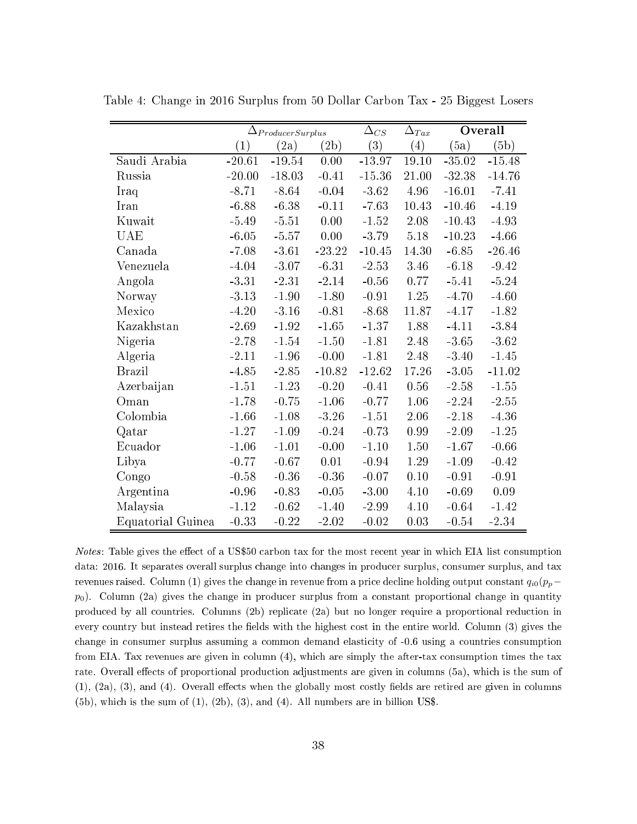|                   | $\Delta_{ProductSurplus}$ |          |          | $\Delta_{CS}$ | $\Delta_{Tax}$   |          | Overall  |
|-------------------|---------------------------|----------|----------|---------------|------------------|----------|----------|
|                   | $\left( 1\right)$         | (2a)     | (2b)     | (3)           | $\left(4\right)$ | (5a)     | (b)      |
| Saudi Arabia      | $-20.61$                  | $-19.54$ | 0.00     | $-13.97$      | 19.10            | $-35.02$ | $-15.48$ |
| Russia            | $-20.00$                  | $-18.03$ | $-0.41$  | $-15.36$      | 21.00            | $-32.38$ | $-14.76$ |
| Iraq              | $-8.71$                   | $-8.64$  | $-0.04$  | $-3.62$       | 4.96             | $-16.01$ | $-7.41$  |
| Iran              | $-6.88$                   | $-6.38$  | $-0.11$  | $-7.63$       | 10.43            | $-10.46$ | $-4.19$  |
| Kuwait            | $-5.49$                   | $-5.51$  | 0.00     | $-1.52$       | 2.08             | $-10.43$ | $-4.93$  |
| UAE               | $-6.05$                   | $-5.57$  | 0.00     | $-3.79$       | 5.18             | $-10.23$ | $-4.66$  |
| Canada            | $-7.08$                   | $-3.61$  | $-23.22$ | $-10.45$      | 14.30            | $-6.85$  | $-26.46$ |
| Venezuela         | $-4.04$                   | $-3.07$  | $-6.31$  | $-2.53$       | 3.46             | $-6.18$  | $-9.42$  |
| Angola            | $-3.31$                   | $-2.31$  | $-2.14$  | $-0.56$       | 0.77             | $-5.41$  | $-5.24$  |
| Norway            | $-3.13$                   | $-1.90$  | $-1.80$  | $-0.91$       | 1.25             | $-4.70$  | $-4.60$  |
| Mexico            | $-4.20$                   | $-3.16$  | $-0.81$  | $-8.68$       | 11.87            | $-4.17$  | $-1.82$  |
| Kazakhstan        | $-2.69$                   | $-1.92$  | $-1.65$  | $-1.37$       | 1.88             | $-4.11$  | $-3.84$  |
| Nigeria           | $-2.78$                   | $-1.54$  | $-1.50$  | $-1.81$       | 2.48             | $-3.65$  | $-3.62$  |
| Algeria           | $-2.11$                   | $-1.96$  | $-0.00$  | $-1.81$       | 2.48             | $-3.40$  | $-1.45$  |
| <b>Brazil</b>     | $-4.85$                   | $-2.85$  | $-10.82$ | $-12.62$      | 17.26            | $-3.05$  | $-11.02$ |
| Azerbaijan        | $-1.51$                   | $-1.23$  | $-0.20$  | $-0.41$       | 0.56             | $-2.58$  | $-1.55$  |
| Oman              | $-1.78$                   | $-0.75$  | $-1.06$  | $-0.77$       | 1.06             | $-2.24$  | $-2.55$  |
| Colombia          | $-1.66$                   | $-1.08$  | $-3.26$  | $-1.51$       | 2.06             | $-2.18$  | $-4.36$  |
| Qatar             | $-1.27$                   | $-1.09$  | $-0.24$  | $-0.73$       | 0.99             | $-2.09$  | $-1.25$  |
| Ecuador           | $-1.06$                   | $-1.01$  | $-0.00$  | $-1.10$       | 1.50             | $-1.67$  | $-0.66$  |
| Libya             | $-0.77$                   | $-0.67$  | 0.01     | $-0.94$       | 1.29             | $-1.09$  | $-0.42$  |
| Congo             | $-0.58$                   | $-0.36$  | $-0.36$  | $-0.07$       | 0.10             | $-0.91$  | $-0.91$  |
| Argentina         | $-0.96$                   | $-0.83$  | $-0.05$  | $-3.00$       | 4.10             | $-0.69$  | $0.09\,$ |
| Malaysia          | $-1.12$                   | $-0.62$  | $-1.40$  | $-2.99$       | 4.10             | $-0.64$  | $-1.42$  |
| Equatorial Guinea | $-0.33$                   | $-0.22$  | $-2.02$  | $-0.02$       | 0.03             | $-0.54$  | $-2.34$  |

Table 4: Change in 2016 Surplus from 50 Dollar Carbon Tax - 25 Biggest Losers

Notes: Table gives the effect of a US\$50 carbon tax for the most recent year in which EIA list consumption data: 2016. It separates overall surplus hange into hanges in produ
er surplus, onsumer surplus, and tax revenues raised. Column (1) gives the change in revenue from a price decline holding output constant  $q_{i0}(p_p$  $p_0$ ). Column (2a) gives the change in producer surplus from a constant proportional change in quantity produ
ed by all ountries. Columns (2b) repli
ate (2a) but no longer require a proportional redu
tion in every country but instead retires the fields with the highest cost in the entire world. Column (3) gives the change in consumer surplus assuming a common demand elasticity of -0.6 using a countries consumption from EIA. Tax revenues are given in olumn (4), whi
h are simply the after-tax onsumption times the tax rate. Overall effects of proportional production adjustments are given in columns (5a), which is the sum of  $(1)$ ,  $(2a)$ ,  $(3)$ , and  $(4)$ . Overall effects when the globally most costly fields are retired are given in columns  $(5b)$ , which is the sum of  $(1)$ ,  $(2b)$ ,  $(3)$ , and  $(4)$ . All numbers are in billion US\$.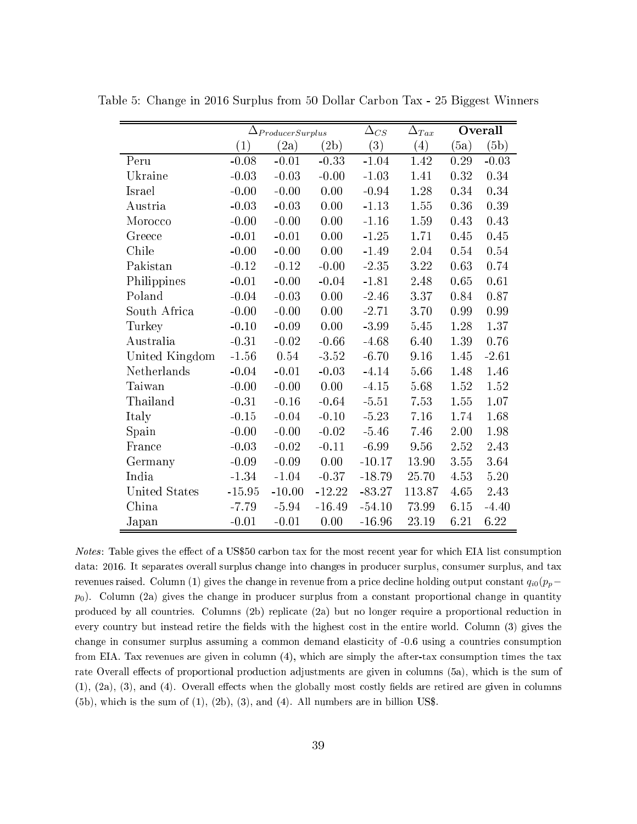|                | $\Delta_{ProductSurplus}$ |          |          | $\Delta_{CS}$ | Overall<br>$\Delta_{Tax}$ |          |          |
|----------------|---------------------------|----------|----------|---------------|---------------------------|----------|----------|
|                | $\left( 1\right)$         | (2a)     | (2b)     | (3)           | (4)                       | (5a)     | (5b)     |
| Peru           | $-0.08$                   | $-0.01$  | $-0.33$  | $-1.04$       | 1.42                      | 0.29     | $-0.03$  |
| Ukraine        | $-0.03$                   | $-0.03$  | $-0.00$  | $-1.03$       | 1.41                      | 0.32     | 0.34     |
| Israel         | $-0.00$                   | $-0.00$  | 0.00     | $-0.94$       | 1.28                      | 0.34     | 0.34     |
| Austria        | $-0.03$                   | $-0.03$  | 0.00     | $-1.13$       | 1.55                      | 0.36     | 0.39     |
| Morocco        | $-0.00$                   | $-0.00$  | 0.00     | $-1.16$       | 1.59                      | 0.43     | 0.43     |
| Greece         | $-0.01$                   | $-0.01$  | 0.00     | $-1.25$       | 1.71                      | 0.45     | 0.45     |
| Chile          | $-0.00$                   | $-0.00$  | 0.00     | $-1.49$       | 2.04                      | 0.54     | $0.54\,$ |
| Pakistan       | $-0.12$                   | $-0.12$  | $-0.00$  | $-2.35$       | 3.22                      | 0.63     | 0.74     |
| Philippines    | $-0.01$                   | $-0.00$  | $-0.04$  | $-1.81$       | 2.48                      | 0.65     | 0.61     |
| Poland         | $-0.04$                   | $-0.03$  | 0.00     | $-2.46$       | 3.37                      | 0.84     | 0.87     |
| South Africa   | $-0.00$                   | $-0.00$  | 0.00     | $-2.71$       | 3.70                      | 0.99     | 0.99     |
| Turkey         | $-0.10$                   | $-0.09$  | 0.00     | $-3.99$       | 5.45                      | 1.28     | 1.37     |
| Australia      | $-0.31$                   | $-0.02$  | $-0.66$  | $-4.68$       | 6.40                      | 1.39     | 0.76     |
| United Kingdom | $-1.56$                   | 0.54     | $-3.52$  | $-6.70$       | 9.16                      | 1.45     | $-2.61$  |
| Netherlands    | $-0.04$                   | $-0.01$  | $-0.03$  | $-4.14$       | 5.66                      | 1.48     | 1.46     |
| Taiwan         | $-0.00$                   | $-0.00$  | 0.00     | $-4.15$       | 5.68                      | 1.52     | 1.52     |
| Thailand       | $-0.31$                   | $-0.16$  | $-0.64$  | $-5.51$       | 7.53                      | 1.55     | 1.07     |
| Italy          | $-0.15$                   | $-0.04$  | $-0.10$  | $-5.23$       | 7.16                      | 1.74     | 1.68     |
| Spain          | $-0.00$                   | $-0.00$  | $-0.02$  | $-5.46$       | 7.46                      | 2.00     | 1.98     |
| France         | $-0.03$                   | $-0.02$  | $-0.11$  | $-6.99$       | 9.56                      | $2.52\,$ | 2.43     |
| Germany        | $-0.09$                   | $-0.09$  | 0.00     | $-10.17$      | 13.90                     | 3.55     | 3.64     |
| India          | $-1.34$                   | $-1.04$  | $-0.37$  | $-18.79$      | 25.70                     | 4.53     | $5.20\,$ |
| United States  | $-15.95$                  | $-10.00$ | $-12.22$ | $-83.27$      | 113.87                    | 4.65     | 2.43     |
| China          | $-7.79$                   | $-5.94$  | $-16.49$ | $-54.10$      | 73.99                     | 6.15     | $-4.40$  |
| Japan          | $-0.01$                   | $-0.01$  | 0.00     | $-16.96$      | 23.19                     | 6.21     | 6.22     |

Table 5: Change in 2016 Surplus from 50 Dollar Carbon Tax - 25 Biggest Winners

Notes: Table gives the effect of a US\$50 carbon tax for the most recent year for which EIA list consumption data: 2016. It separates overall surplus change into changes in producer surplus, consumer surplus, and tax revenues raised. Column (1) gives the change in revenue from a price decline holding output constant  $q_{i0}(p_p$  $p_0$ ). Column (2a) gives the change in producer surplus from a constant proportional change in quantity produ
ed by all ountries. Columns (2b) repli
ate (2a) but no longer require a proportional redu
tion in every country but instead retire the fields with the highest cost in the entire world. Column (3) gives the change in consumer surplus assuming a common demand elasticity of -0.6 using a countries consumption from EIA. Tax revenues are given in olumn (4), whi
h are simply the after-tax onsumption times the tax rate Overall effects of proportional production adjustments are given in columns (5a), which is the sum of  $(1)$ ,  $(2a)$ ,  $(3)$ , and  $(4)$ . Overall effects when the globally most costly fields are retired are given in columns  $(5b)$ , which is the sum of  $(1)$ ,  $(2b)$ ,  $(3)$ , and  $(4)$ . All numbers are in billion US\$.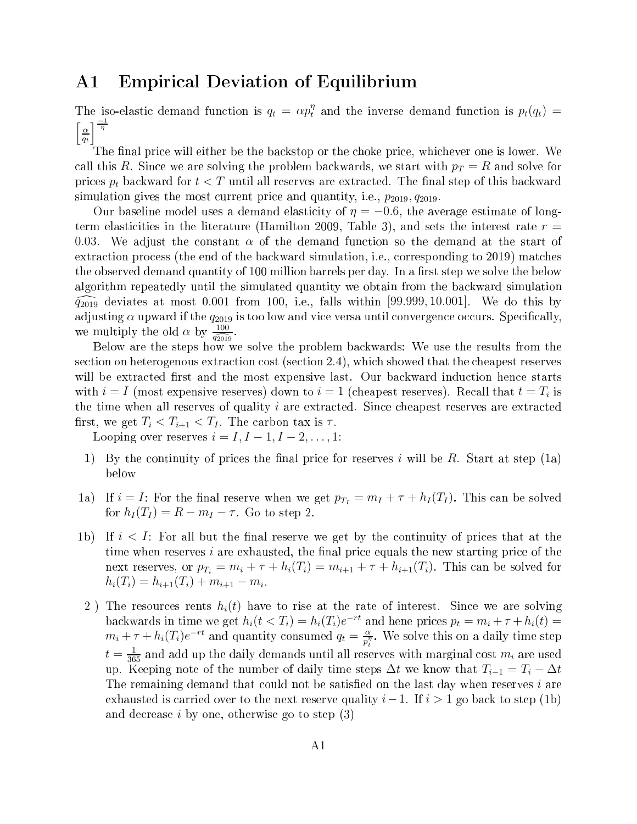# A1 Empiri
al Deviation of Equilibrium

The iso-elastic demand function is  $q_t = \alpha p_t^{\eta}$  and the inverse demand function is  $p_t(q_t)$  =  $\lceil \alpha \rceil$  $q_t$  $\frac{-1}{\eta}$ 

The final price will either be the backstop or the choke price, whichever one is lower. We call this R. Since we are solving the problem backwards, we start with  $p_T = R$  and solve for prices  $p_t$  backward for  $t < T$  until all reserves are extracted. The final step of this backward simulation gives the most current price and quantity, i.e.,  $p_{2019}$ ,  $q_{2019}$ .

Our baseline model uses a demand elasticity of  $\eta = -0.6$ , the average estimate of longterm elasticities in the literature (Hamilton 2009, Table 3), and sets the interest rate  $r =$ 0.03. We adjust the constant  $\alpha$  of the demand function so the demand at the start of extraction process (the end of the backward simulation, *i.e.*, corresponding to 2019) matches the observed demand quantity of 100 million barrels per day. In a first step we solve the below algorithm repeatedly until the simulated quantity we obtain from the backward simulation  $\widehat{q_{2019}}$  deviates at most 0.001 from 100, i.e., falls within [99.999, 10.001]. We do this by adjusting  $\alpha$  upward if the  $q_{2019}$  is too low and vice versa until convergence occurs. Specifically, we multiply the old  $\alpha$  by  $\frac{100}{q_{2019}}$ .

Below are the steps how we solve the problem ba
kwards: We use the results from the section on heterogenous extraction cost (section 2.4), which showed that the cheapest reserves will be extracted first and the most expensive last. Our backward induction hence starts with  $i = I$  (most expensive reserves) down to  $i = 1$  (cheapest reserves). Recall that  $t = T_i$  is the time when all reserves of quality  $i$  are extracted. Since cheapest reserves are extracted first, we get  $T_i < T_{i+1} < T_I$ . The carbon tax is  $\tau$ .

Looping over reserves  $i = I, I - 1, I - 2, \ldots, 1$ :

- 1) By the continuity of prices the final price for reserves i will be R. Start at step (1a) below
- 1a) If  $i = I$ : For the final reserve when we get  $p_{T_I} = m_I + \tau + h_I(T_I)$ . This can be solved for  $h_I(T_I) = R - m_I - \tau$ . Go to step 2.
- 1b) If  $i < I$ : For all but the final reserve we get by the continuity of prices that at the time when reserves *i* are exhausted, the final price equals the new starting price of the next reserves, or  $p_{T_i} = m_i + \tau + h_i(T_i) = m_{i+1} + \tau + h_{i+1}(T_i)$ . This can be solved for  $h_i(T_i) = h_{i+1}(T_i) + m_{i+1} - m_i.$
- 2) The resources rents  $h_i(t)$  have to rise at the rate of interest. Since we are solving backwards in time we get  $h_i(t < T_i) = h_i(T_i)e^{-rt}$  and hene prices  $p_t = m_i + \tau + h_i(t) =$  $m_i + \tau + h_i(T_i)e^{-rt}$  and quantity consumed  $q_t = \frac{\alpha}{n!}$  $\overline{p_t^\eta}.$  We solve this on a daily time step  $t=\frac{1}{365}$  and add up the daily demands until all reserves with marginal cost  $m_i$  are used up. Keeping note of the number of daily time steps  $\Delta t$  we know that  $T_{i-1} = T_i - \Delta t$ The remaining demand that could not be satisfied on the last day when reserves  $i$  are exhausted is carried over to the next reserve quality  $i-1$ . If  $i>1$  go back to step (1b) and de
rease i by one, otherwise go to step (3)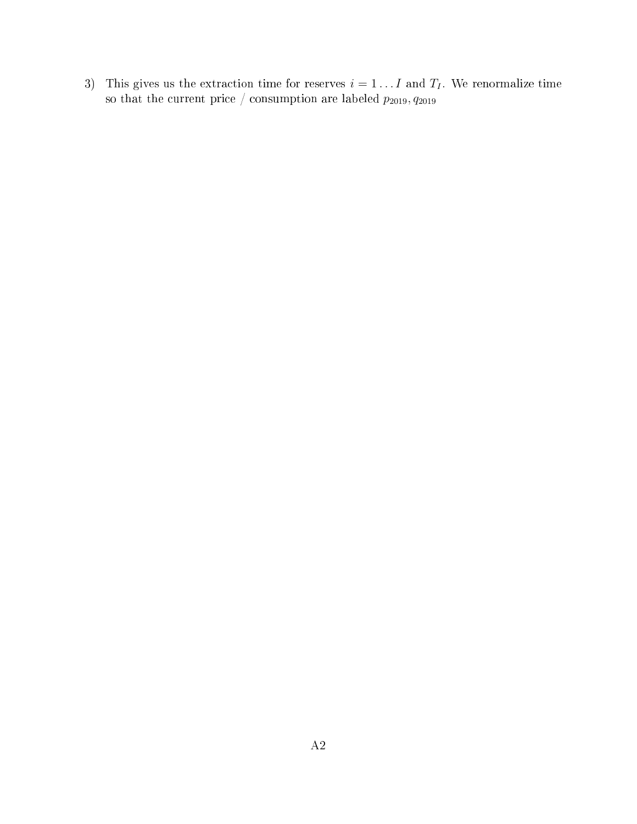3) This gives us the extraction time for reserves  $i = 1 \dots I$  and  $T_I$ . We renormalize time so that the current price / consumption are labeled  $p_{2019}, q_{2019}$